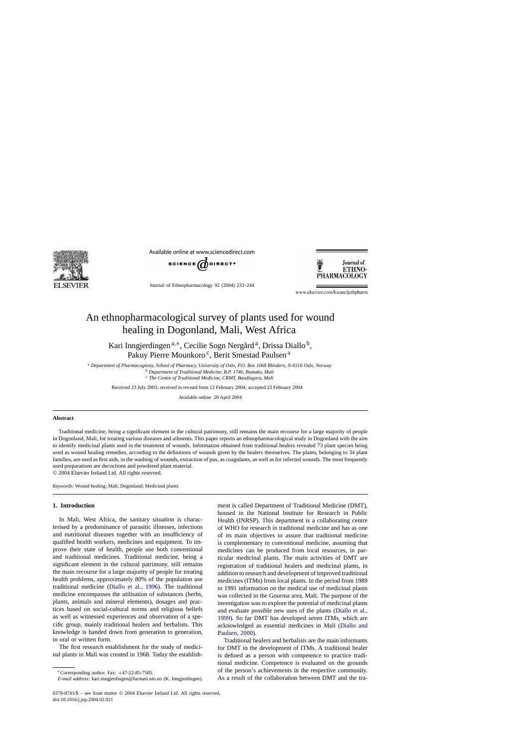

Available online at www.sciencedirect.com



Journal of Ethnopharmacology 92 (2004) 233–244



www.elsevier.com/locate/jethpharm

# An ethnopharmacological survey of plants used for wound healing in Dogonland, Mali, West Africa

Kari Inngjerdingen<sup>a,∗</sup>, Cecilie Sogn Nergård<sup>a</sup>, Drissa Diallo<sup>b</sup>, Pakuy Pierre Mounkoro<sup>c</sup>, Berit Smestad Paulsen<sup>a</sup>

<sup>a</sup> *Department of Pharmacognosy, School of Pharmacy, University of Oslo, P.O. Box 1068 Blindern, N-0316 Oslo, Norway* <sup>b</sup> *Department of Traditional Medicine, B.P. 1746, Bamako, Mali*

<sup>c</sup> *The Centre of Traditional Medicine, CRMT, Bandiagara, Mali*

Received 23 July 2003; received in revised form 12 February 2004; accepted 23 February 2004

Available online 20 April 2004

## **Abstract**

Traditional medicine, being a significant element in the cultural patrimony, still remains the main recourse for a large majority of people in Dogonland, Mali, for treating various diseases and ailments. This paper reports an ethnopharmacological study in Dogonland with the aim to identify medicinal plants used in the treatment of wounds. Information obtained from traditional healers revealed 73 plant species being used as wound healing remedies, according to the definitions of wounds given by the healers themselves. The plants, belonging to 34 plant families, are used as first aids, in the washing of wounds, extraction of pus, as coagulants, as well as for infected wounds. The most frequently used preparations are decoctions and powdered plant material.

© 2004 Elsevier Ireland Ltd. All rights reserved.

*Keywords:* Wound healing; Mali; Dogonland; Medicinal plants

# **1. Introduction**

In Mali, West Africa, the sanitary situation is characterised by a predominance of parasitic illnesses, infections and nutritional diseases together with an insufficiency of qualified health workers, medicines and equipment. To improve their state of health, people use both conventional and traditional medicines. Traditional medicine, being a significant element in the cultural patrimony, still remains the main recourse for a large majority of people for treating health problems, approximately 80% of the population use traditional medicine [\(Diallo et al., 1996](#page-10-0)). The traditional medicine encompasses the utilisation of substances (herbs, plants, animals and mineral elements), dosages and practices based on social-cultural norms and religious beliefs as well as witnessed experiences and observation of a specific group, mainly traditional healers and herbalists. This knowledge is handed down from generation to generation, in oral or written form.

The first research establishment for the study of medicinal plants in Mali was created in 1968. Today the establishment is called Department of Traditional Medicine (DMT), housed in the National Institute for Research in Public Health (INRSP). This department is a collaborating centre of WHO for research in traditional medicine and has as one of its main objectives to assure that traditional medicine is complementary to conventional medicine, assuming that medicines can be produced from local resources, in particular medicinal plants. The main activities of DMT are registration of traditional healers and medicinal plants, in addition to research and development of improved traditional medicines (ITMs) from local plants. In the period from 1989 to 1991 information on the medical use of medicinal plants was collected in the Gourma area, Mali. The purpose of the investigation was to explore the potential of medicinal plants and evaluate possible new uses of the plants [\(Diallo et al.,](#page-10-0) [1999\).](#page-10-0) So far DMT has developed seven ITMs, which are acknowledged as essential medicines in Mali ([Diallo and](#page-11-0) [Paulsen, 2000\).](#page-11-0)

Traditional healers and herbalists are the main informants for DMT in the development of ITMs. A traditional healer is defined as a person with competence to practice traditional medicine. Competence is evaluated on the grounds of the person's achievements in the respective community. As a result of the collaboration between DMT and the tra-

<sup>∗</sup> Corresponding author. Fax: +47-22-85-7505.

*E-mail address:* kari.inngjerdingen@farmasi.uio.no (K. Inngjerdingen).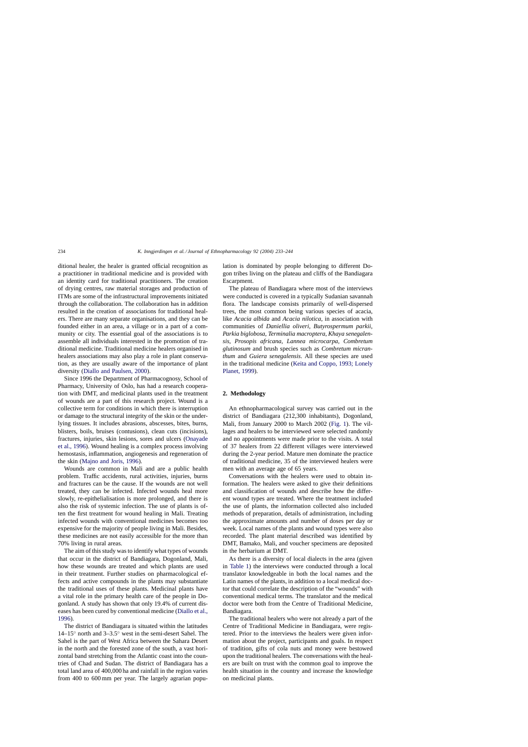ditional healer, the healer is granted official recognition as a practitioner in traditional medicine and is provided with an identity card for traditional practitioners. The creation of drying centres, raw material storages and production of ITMs are some of the infrastructural improvements initiated through the collaboration. The collaboration has in addition resulted in the creation of associations for traditional healers. There are many separate organisations, and they can be founded either in an area, a village or in a part of a community or city. The essential goal of the associations is to assemble all individuals interested in the promotion of traditional medicine. Traditional medicine healers organised in healers associations may also play a role in plant conservation, as they are usually aware of the importance of plant diversity [\(Diallo and Paulsen, 2000\).](#page-11-0)

Since 1996 the Department of Pharmacognosy, School of Pharmacy, University of Oslo, has had a research cooperation with DMT, and medicinal plants used in the treatment of wounds are a part of this research project. Wound is a collective term for conditions in which there is interruption or damage to the structural integrity of the skin or the underlying tissues. It includes abrasions, abscesses, bites, burns, blisters, boils, bruises (contusions), clean cuts (incisions), fractures, injuries, skin lesions, sores and ulcers [\(Onayade](#page-11-0) [et al., 1996\).](#page-11-0) Wound healing is a complex process involving hemostasis, inflammation, angiogenesis and regeneration of the skin ([Majno and Joris, 1996\).](#page-11-0)

Wounds are common in Mali and are a public health problem. Traffic accidents, rural activities, injuries, burns and fractures can be the cause. If the wounds are not well treated, they can be infected. Infected wounds heal more slowly, re-epithelialisation is more prolonged, and there is also the risk of systemic infection. The use of plants is often the first treatment for wound healing in Mali. Treating infected wounds with conventional medicines becomes too expensive for the majority of people living in Mali. Besides, these medicines are not easily accessible for the more than 70% living in rural areas.

The aim of this study was to identify what types of wounds that occur in the district of Bandiagara, Dogonland, Mali, how these wounds are treated and which plants are used in their treatment. Further studies on pharmacological effects and active compounds in the plants may substantiate the traditional uses of these plants. Medicinal plants have a vital role in the primary health care of the people in Dogonland. A study has shown that only 19.4% of current diseases has been cured by conventional medicine [\(Diallo et al.,](#page-10-0) [1996\).](#page-10-0)

The district of Bandiagara is situated within the latitudes 14–15◦ north and 3–3.5◦ west in the semi-desert Sahel. The Sahel is the part of West Africa between the Sahara Desert in the north and the forested zone of the south, a vast horizontal band stretching from the Atlantic coast into the countries of Chad and Sudan. The district of Bandiagara has a total land area of 400,000 ha and rainfall in the region varies from 400 to 600 mm per year. The largely agrarian population is dominated by people belonging to different Dogon tribes living on the plateau and cliffs of the Bandiagara Escarpment.

The plateau of Bandiagara where most of the interviews were conducted is covered in a typically Sudanian savannah flora. The landscape consists primarily of well-dispersed trees, the most common being various species of acacia, like *Acacia albida* and *Acacia nilotica*, in association with communities of *Daniellia oliveri*, *Butyrospermum parkii*, *Parkia biglobosa*, *Terminalia macroptera*, *Khaya senegalensis*, *Prosopis africana, Lannea microcarpa, Combretum glutinosum* and brush species such as *Combretum micranthum* and *Guiera senegalensis*. All these species are used in the traditional medicine ([Keita and Coppo, 1993; Lonely](#page-11-0) [Planet, 1999\).](#page-11-0)

## **2. Methodology**

An ethnopharmacological survey was carried out in the district of Bandiagara (212,300 inhabitants), Dogonland, Mali, from January 2000 to March 2002 [\(Fig. 1\).](#page-2-0) The villages and healers to be interviewed were selected randomly and no appointments were made prior to the visits. A total of 37 healers from 22 different villages were interviewed during the 2-year period. Mature men dominate the practice of traditional medicine, 35 of the interviewed healers were men with an average age of 65 years.

Conversations with the healers were used to obtain information. The healers were asked to give their definitions and classification of wounds and describe how the different wound types are treated. Where the treatment included the use of plants, the information collected also included methods of preparation, details of administration, including the approximate amounts and number of doses per day or week. Local names of the plants and wound types were also recorded. The plant material described was identified by DMT, Bamako, Mali, and voucher specimens are deposited in the herbarium at DMT.

As there is a diversity of local dialects in the area (given in [Table 1\)](#page-3-0) the interviews were conducted through a local translator knowledgeable in both the local names and the Latin names of the plants, in addition to a local medical doctor that could correlate the description of the "wounds" with conventional medical terms. The translator and the medical doctor were both from the Centre of Traditional Medicine, Bandiagara.

The traditional healers who were not already a part of the Centre of Traditional Medicine in Bandiagara, were registered. Prior to the interviews the healers were given information about the project, participants and goals. In respect of tradition, gifts of cola nuts and money were bestowed upon the traditional healers. The conversations with the healers are built on trust with the common goal to improve the health situation in the country and increase the knowledge on medicinal plants.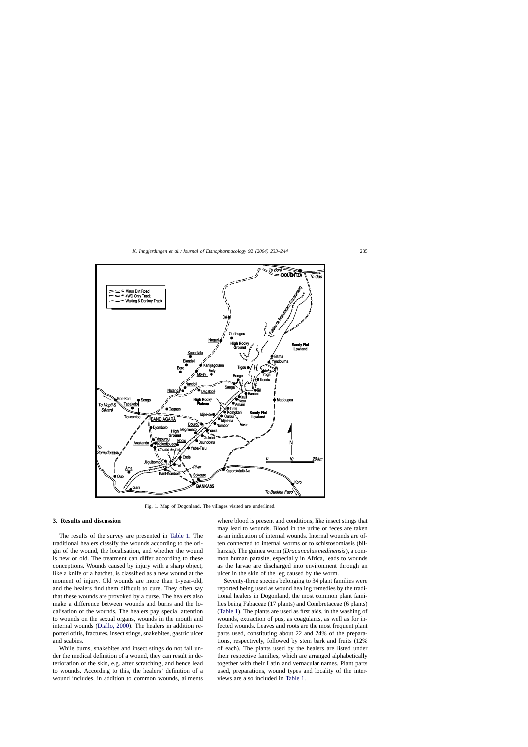<span id="page-2-0"></span>

Fig. 1. Map of Dogonland. The villages visited are underlined.

# **3. Results and discussion**

The results of the survey are presented in [Table 1.](#page-3-0) The traditional healers classify the wounds according to the origin of the wound, the localisation, and whether the wound is new or old. The treatment can differ according to these conceptions. Wounds caused by injury with a sharp object, like a knife or a hatchet, is classified as a new wound at the moment of injury. Old wounds are more than 1-year-old, and the healers find them difficult to cure. They often say that these wounds are provoked by a curse. The healers also make a difference between wounds and burns and the localisation of the wounds. The healers pay special attention to wounds on the sexual organs, wounds in the mouth and internal wounds ([Diallo, 2000\).](#page-10-0) The healers in addition reported otitis, fractures, insect stings, snakebites, gastric ulcer and scabies.

While burns, snakebites and insect stings do not fall under the medical definition of a wound, they can result in deterioration of the skin, e.g. after scratching, and hence lead to wounds. According to this, the healers' definition of a wound includes, in addition to common wounds, ailments

where blood is present and conditions, like insect stings that may lead to wounds. Blood in the urine or feces are taken as an indication of internal wounds. Internal wounds are often connected to internal worms or to schistosomiasis (bilharzia). The guinea worm (*Dracunculus medinensis*), a common human parasite, especially in Africa, leads to wounds as the larvae are discharged into environment through an ulcer in the skin of the leg caused by the worm.

Seventy-three species belonging to 34 plant families were reported being used as wound healing remedies by the traditional healers in Dogonland, the most common plant families being Fabaceae (17 plants) and Combretaceae (6 plants) ([Table 1\).](#page-3-0) The plants are used as first aids, in the washing of wounds, extraction of pus, as coagulants, as well as for infected wounds. Leaves and roots are the most frequent plant parts used, constituting about 22 and 24% of the preparations, respectively, followed by stem bark and fruits (12% of each). The plants used by the healers are listed under their respective families, which are arranged alphabetically together with their Latin and vernacular names. Plant parts used, preparations, wound types and locality of the interviews are also included in [Table 1.](#page-3-0)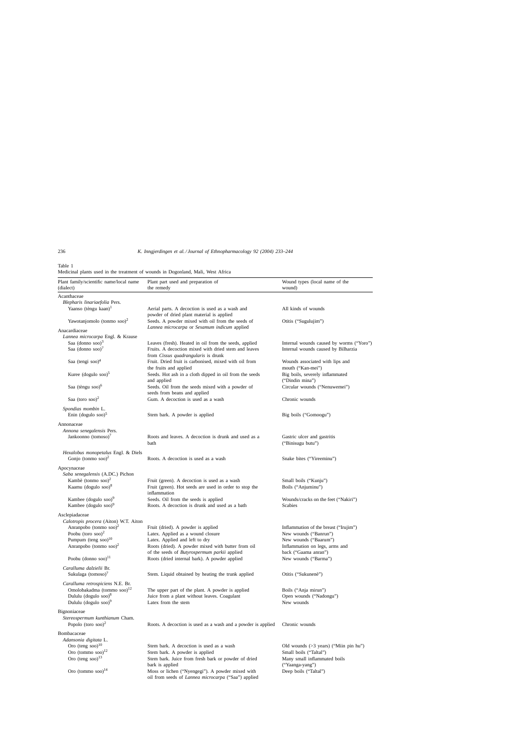<span id="page-3-0"></span>Table 1

Medicinal plants used in the treatment of wounds in Dogonland, Mali, West Africa

| Plant family/scientific name/local name<br>(dialect)                  | Plant part used and preparation of<br>the remedy                                                                       | Wound types (local name of the<br>wound)                       |
|-----------------------------------------------------------------------|------------------------------------------------------------------------------------------------------------------------|----------------------------------------------------------------|
| Acanthaceae<br>Blepharis linariaefolia Pers.                          |                                                                                                                        |                                                                |
| Yaanso (tèngu kaan) <sup>1</sup>                                      | Aerial parts. A decoction is used as a wash and<br>powder of dried plant material is applied                           | All kinds of wounds                                            |
| Yawotanjomolo (tonmo soo) <sup>2</sup>                                | Seeds. A powder mixed with oil from the seeds of<br>Lannea microcarpa or Sesamum indicum applied                       | Otitis ("Sugulujim")                                           |
| Anacardiaceae<br>Lannea microcarpa Engl. & Krause                     |                                                                                                                        |                                                                |
| Saa (donno soo) $3$                                                   | Leaves (fresh). Heated in oil from the seeds, applied                                                                  | Internal wounds caused by worms ("Yoro")                       |
| Saa (donno $\text{so}$ ) <sup>7</sup>                                 | Fruits. A decoction mixed with dried stem and leaves<br>from <i>Cissus quadrangularis</i> is drunk                     | Internal wounds caused by Bilharzia                            |
| Saa (tengi $soo$ ) <sup>4</sup>                                       | Fruit. Dried fruit is carbonised, mixed with oil from<br>the fruits and applied                                        | Wounds associated with lips and<br>mouth ("Kan-mei")           |
| Kuree (dogulo soo) $5$                                                | Seeds. Hot ash in a cloth dipped in oil from the seeds<br>and applied                                                  | Big boils, severely inflammated<br>("Dindin mina")             |
| Saa (tèngu soo) <sup>6</sup>                                          | Seeds. Oil from the seeds mixed with a powder of<br>seeds from beans and applied                                       | Circular wounds ("Nenuwemei")                                  |
| Saa (toro soo) <sup>2</sup>                                           | Gum. A decoction is used as a wash                                                                                     | Chronic wounds                                                 |
| Spondias mombin L.<br>Enin (dogulo soo) <sup>5</sup>                  | Stem bark. A powder is applied                                                                                         | Big boils ("Gomoogu")                                          |
| Annonaceae                                                            |                                                                                                                        |                                                                |
| Annona senegalensis Pers.<br>Jankoonno (tomoso) <sup>7</sup>          | Roots and leaves. A decoction is drunk and used as a<br>bath                                                           | Gastric ulcer and gastritis<br>("Binisugu butu")               |
| Hexalobus monopetalus Engl. & Diels<br>Gonjo (tonmo soo) <sup>2</sup> | Roots. A decoction is used as a wash                                                                                   | Snake bites ("Yireeminu")                                      |
| Apocynaceae                                                           |                                                                                                                        |                                                                |
| Saba senegalensis (A.DC.) Pichon                                      |                                                                                                                        |                                                                |
| Kambè (tonmo soo) <sup>2</sup><br>Kaamu (dogulo soo) <sup>8</sup>     | Fruit (green). A decoction is used as a wash<br>Fruit (green). Hot seeds are used in order to stop the<br>inflammation | Small boils ("Kunju")<br>Boils ("Anjuminu")                    |
| Kambee (dogulo soo) <sup>9</sup><br>Kambee (dogulo soo) <sup>9</sup>  | Seeds. Oil from the seeds is applied<br>Roots. A decoction is drunk and used as a bath                                 | Wounds/cracks on the feet ("Nakiri")<br><b>Scabies</b>         |
| Asclepiadaceae                                                        |                                                                                                                        |                                                                |
| Calotropis procera (Aiton) W.T. Aiton                                 |                                                                                                                        |                                                                |
| Anranpobo (tonmo soo) <sup>2</sup><br>Poobu (toro soo) <sup>2</sup>   | Fruit (dried). A powder is applied<br>Latex. Applied as a wound closure                                                | Inflammation of the breast ("Irujim")<br>New wounds ("Banrun") |
| Pumpum (teng soo) <sup>10</sup>                                       | Latex. Applied and left to dry                                                                                         | New wounds ("Baarum")                                          |
| Anranpobo (tonmo soo) <sup>2</sup>                                    | Roots (dried). A powder mixed with butter from oil                                                                     | Inflammation on legs, arms and                                 |
| Poobu $\mbox{(donno}~\mbox{soo})^{11}$                                | of the seeds of <i>Butyrospermum parkii</i> applied<br>Roots (dried internal bark). A powder applied                   | back ("Gaama anran")<br>New wounds ("Barma")                   |
| Caralluma dalzielii Br.<br>Sukulaga (tomoso) <sup>7</sup>             | Stem. Liquid obtained by heating the trunk applied                                                                     | Otitis ("Sukunenè")                                            |
| Caralluma retrospiciens N.E. Br.                                      |                                                                                                                        |                                                                |
| Omolobakadma (tommo soo) $^{12}$                                      | The upper part of the plant. A powder is applied                                                                       | Boils ("Anja mirun")                                           |
| Dululu (dogulo soo) <sup>8</sup>                                      | Juice from a plant without leaves. Coagulant                                                                           | Open wounds ("Nadongu")                                        |
| Dululu (dogulo soo) <sup>9</sup>                                      | Latex from the stem                                                                                                    | New wounds                                                     |
| Bignoniaceae                                                          |                                                                                                                        |                                                                |
| Stereospermum kunthianum Cham.<br>Popolo (toro soo) <sup>2</sup>      | Roots. A decoction is used as a wash and a powder is applied                                                           | Chronic wounds                                                 |
| Bombacaceae<br>Adansonia digitata L.                                  |                                                                                                                        |                                                                |
| Oro (teng $\text{soo}$ ) <sup>10</sup>                                | Stem bark. A decoction is used as a wash                                                                               | Old wounds $($ >3 years) ("Miin pin hu")                       |
| Oro (tommo $\rm{soo}$ ) <sup>12</sup>                                 | Stem bark. A powder is applied                                                                                         | Small boils ("Taltal")                                         |
| Oro (teng soo) $13$                                                   | Stem bark. Juice from fresh bark or powder of dried<br>bark is applied                                                 | Many small inflammated boils<br>("Yaanga-yang")                |
| Oro (tommo soo) $14$                                                  | Moss or lichen ("Nyengegi"). A powder mixed with<br>oil from seeds of Lannea microcarpa ("Saa") applied                | Deep boils ("Taltal")                                          |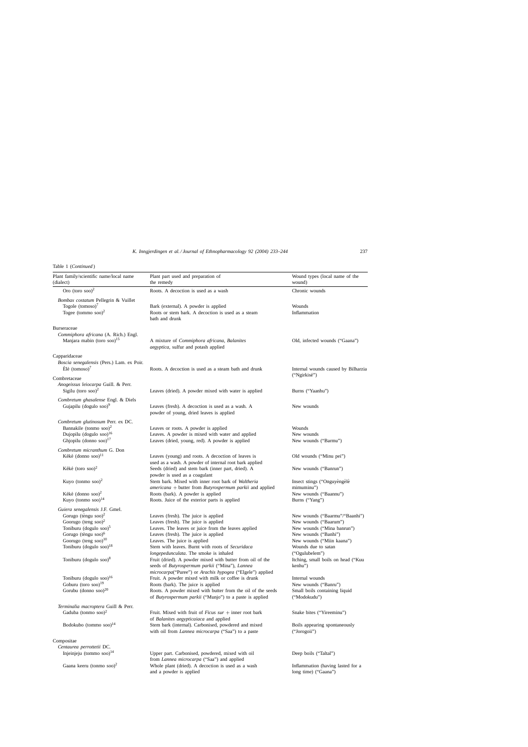Table 1 (*Continued* )

| Plant family/scientific name/local name<br>(dialect)                                                                                                                                                                                                                                                                                                                                                                                                                                  | Plant part used and preparation of<br>the remedy                                                                                                                                                                                                                                                                                                                                                                                                                                                                                                                                                                                                                                                                                                                                                                                                                                                                                                      | Wound types (local name of the<br>wound)                                                                                                                                                                                                                                                                                                                                                                       |
|---------------------------------------------------------------------------------------------------------------------------------------------------------------------------------------------------------------------------------------------------------------------------------------------------------------------------------------------------------------------------------------------------------------------------------------------------------------------------------------|-------------------------------------------------------------------------------------------------------------------------------------------------------------------------------------------------------------------------------------------------------------------------------------------------------------------------------------------------------------------------------------------------------------------------------------------------------------------------------------------------------------------------------------------------------------------------------------------------------------------------------------------------------------------------------------------------------------------------------------------------------------------------------------------------------------------------------------------------------------------------------------------------------------------------------------------------------|----------------------------------------------------------------------------------------------------------------------------------------------------------------------------------------------------------------------------------------------------------------------------------------------------------------------------------------------------------------------------------------------------------------|
| Oro $(toro\,soo)^2$                                                                                                                                                                                                                                                                                                                                                                                                                                                                   | Roots. A decoction is used as a wash                                                                                                                                                                                                                                                                                                                                                                                                                                                                                                                                                                                                                                                                                                                                                                                                                                                                                                                  | Chronic wounds                                                                                                                                                                                                                                                                                                                                                                                                 |
| Bombax costatum Pellegrin & Vuillet<br>Togole $(tomoso)^7$<br>Togee (tommo soo) <sup>2</sup>                                                                                                                                                                                                                                                                                                                                                                                          | Bark (external). A powder is applied<br>Roots or stem bark. A decoction is used as a steam<br>bath and drunk                                                                                                                                                                                                                                                                                                                                                                                                                                                                                                                                                                                                                                                                                                                                                                                                                                          | Wounds<br>Inflammation                                                                                                                                                                                                                                                                                                                                                                                         |
| <b>Burseraceae</b><br>Commiphora africana (A. Rich.) Engl.<br>Manjara mabin (toro soo) $15$                                                                                                                                                                                                                                                                                                                                                                                           | A mixture of Commiphora africana, Balanites<br><i>aegyptica</i> , sulfur and potash applied                                                                                                                                                                                                                                                                                                                                                                                                                                                                                                                                                                                                                                                                                                                                                                                                                                                           | Old, infected wounds ("Gaana")                                                                                                                                                                                                                                                                                                                                                                                 |
| Capparidaceae<br>Boscia senegalensis (Pers.) Lam. ex Poir.<br>$E$ lè (tomoso) <sup>7</sup>                                                                                                                                                                                                                                                                                                                                                                                            | Roots. A decoction is used as a steam bath and drunk                                                                                                                                                                                                                                                                                                                                                                                                                                                                                                                                                                                                                                                                                                                                                                                                                                                                                                  | Internal wounds caused by Bilharzia                                                                                                                                                                                                                                                                                                                                                                            |
| Combretaceae<br>Anogeissus leiocarpa Guill. & Perr.<br>Sigilu (toro soo) <sup>2</sup>                                                                                                                                                                                                                                                                                                                                                                                                 | Leaves (dried). A powder mixed with water is applied                                                                                                                                                                                                                                                                                                                                                                                                                                                                                                                                                                                                                                                                                                                                                                                                                                                                                                  | ("Ngirkisé")<br>Burns ("Yaanhu")                                                                                                                                                                                                                                                                                                                                                                               |
| Combretum ghasalense Engl. & Diels<br>Gujapilu (dogulo soo) <sup>9</sup>                                                                                                                                                                                                                                                                                                                                                                                                              | Leaves (fresh). A decoction is used as a wash. A<br>powder of young, dried leaves is applied                                                                                                                                                                                                                                                                                                                                                                                                                                                                                                                                                                                                                                                                                                                                                                                                                                                          | New wounds                                                                                                                                                                                                                                                                                                                                                                                                     |
| Combretum glutinosum Perr. ex DC.<br>Bannakile (tonmo soo) <sup>2</sup><br>Dujopilu (dogulo soo) <sup>16</sup><br>Ghjopilu (donno soo) <sup>17</sup>                                                                                                                                                                                                                                                                                                                                  | Leaves or roots. A powder is applied<br>Leaves. A powder is mixed with water and applied<br>Leaves (dried, young, red). A powder is applied                                                                                                                                                                                                                                                                                                                                                                                                                                                                                                                                                                                                                                                                                                                                                                                                           | Wounds<br>New wounds<br>New wounds ("Barmu")                                                                                                                                                                                                                                                                                                                                                                   |
| Combretum micranthum G. Don<br>Kéké (donno soo) <sup>11</sup>                                                                                                                                                                                                                                                                                                                                                                                                                         | Leaves (young) and roots. A decoction of leaves is<br>used as a wash. A powder of internal root bark applied                                                                                                                                                                                                                                                                                                                                                                                                                                                                                                                                                                                                                                                                                                                                                                                                                                          | Old wounds ("Minu pei")                                                                                                                                                                                                                                                                                                                                                                                        |
| Kéké (toro soo) <sup>2</sup>                                                                                                                                                                                                                                                                                                                                                                                                                                                          | Seeds (dried) and stem bark (inner part, dried). A<br>powder is used as a coagulant                                                                                                                                                                                                                                                                                                                                                                                                                                                                                                                                                                                                                                                                                                                                                                                                                                                                   | New wounds ("Banrun")                                                                                                                                                                                                                                                                                                                                                                                          |
| Kuyo (tonmo soo) $2$                                                                                                                                                                                                                                                                                                                                                                                                                                                                  | Stem bark. Mixed with inner root bark of Waltheria<br>$americana + butter from Butyrospermum parkii$ and applied                                                                                                                                                                                                                                                                                                                                                                                                                                                                                                                                                                                                                                                                                                                                                                                                                                      | Insect stings ("Onguyèngèlè<br>mimuminu")                                                                                                                                                                                                                                                                                                                                                                      |
| Kéké (donno soo) <sup>2</sup><br>Kuyo (tonmo soo) $14$                                                                                                                                                                                                                                                                                                                                                                                                                                | Roots (bark). A powder is applied<br>Roots. Juice of the exterior parts is applied                                                                                                                                                                                                                                                                                                                                                                                                                                                                                                                                                                                                                                                                                                                                                                                                                                                                    | New wounds ("Baannu")<br>Burns ("Yang")                                                                                                                                                                                                                                                                                                                                                                        |
| Guiera senegalensis J.F. Gmel.<br>Gorugo (tèngu soo) <sup>2</sup><br>Goorugo (teng soo) <sup>2</sup><br>Toniburu (dogulo soo) <sup>5</sup><br>Gorugo (tèngu soo) <sup>6</sup><br>Goorugo (teng soo) $10$<br>Toniburu (dogulo $soo$ ) <sup>18</sup><br>Toniburu (dogulo soo) $8$<br>Toniburu (dogulo soo) $16$<br>Goburu (toro soo) $19$<br>Gorubu (donno soo) $^{20}$<br>Terminalia macroptera Guill & Perr.<br>Gaduba (tonmo soo) <sup>2</sup><br>Bodokubo (tommo soo) <sup>14</sup> | Leaves (fresh). The juice is applied<br>Leaves (fresh). The juice is applied<br>Leaves. The leaves or juice from the leaves applied<br>Leaves (fresh). The juice is applied<br>Leaves. The juice is applied<br>Stem with leaves. Burnt with roots of Securidaca<br><i>longepedunculata</i> . The smoke is inhaled<br>Fruit (dried). A powder mixed with butter from oil of the<br>seeds of Butyrospermum parkii ("Mina"), Lannea<br>microcarpa("Puree") or Arachis hypogea ("Elgele") applied<br>Fruit. A powder mixed with milk or coffee is drunk<br>Roots (bark). The juice is applied<br>Roots. A powder mixed with butter from the oil of the seeds<br>of Butyrospermum parkii ("Munjo") to a paste is applied<br>Fruit. Mixed with fruit of <i>Ficus sur</i> $+$ inner root bark<br>of Balanites aegypticaiaca and applied<br>Stem bark (internal). Carbonised, powdered and mixed<br>with oil from <i>Lannea microcarpa</i> ("Saa") to a paste | New wounds ("Baarmu"/"Baanhi")<br>New wounds ("Baarum")<br>New wounds ("Mina banrun")<br>New wounds ("Banhi")<br>New wounds ("Miin kaana")<br>Wounds due to satan<br>("Ogulubelem")<br>Itching, small boils on head ("Kuu<br>kenhu")<br>Internal wounds<br>New wounds ("Banru")<br>Small boils containing liquid<br>("Modokudu")<br>Snake bites ("Yireeminu")<br>Boils appearing spontaneously<br>("Jorogoii") |
| Compositae                                                                                                                                                                                                                                                                                                                                                                                                                                                                            |                                                                                                                                                                                                                                                                                                                                                                                                                                                                                                                                                                                                                                                                                                                                                                                                                                                                                                                                                       |                                                                                                                                                                                                                                                                                                                                                                                                                |
| Centaurea perrottetii DC.<br>Injeinjeju (tommo soo) <sup>14</sup>                                                                                                                                                                                                                                                                                                                                                                                                                     | Upper part. Carbonised, powdered, mixed with oil                                                                                                                                                                                                                                                                                                                                                                                                                                                                                                                                                                                                                                                                                                                                                                                                                                                                                                      | Deep boils ("Taltal")                                                                                                                                                                                                                                                                                                                                                                                          |
| Gaana keeru (tonmo soo) <sup>2</sup>                                                                                                                                                                                                                                                                                                                                                                                                                                                  | from Lannea microcarpa ("Saa") and applied<br>Whole plant (dried). A decoction is used as a wash<br>and a powder is applied                                                                                                                                                                                                                                                                                                                                                                                                                                                                                                                                                                                                                                                                                                                                                                                                                           | Inflammation (having lasted for a<br>long time) ("Gaana")                                                                                                                                                                                                                                                                                                                                                      |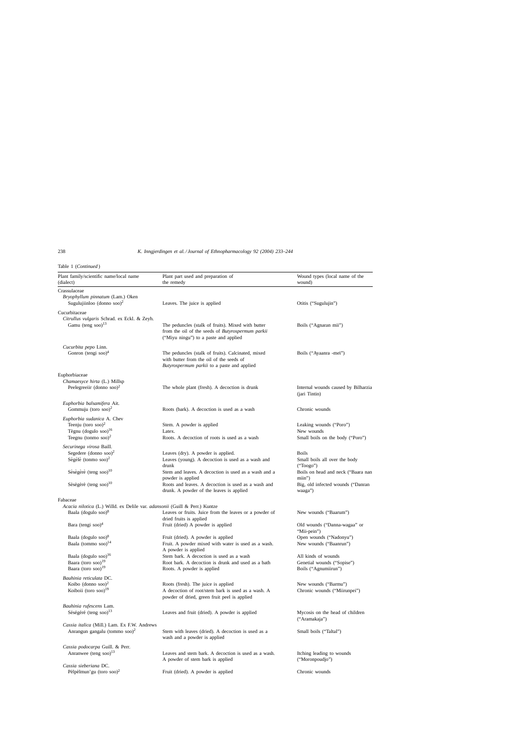Table 1 (*Continued* )

| Crassulaceae<br>Bryophyllum pinnatum (Lam.) Oken<br>Sugulujiinloo (donno soo) <sup>2</sup><br>Leaves. The juice is applied<br>Otitis ("Sugulujin")<br>Cucurbitaceae<br>Citrullus vulgaris Schrad. ex Eckl. & Zeyh.<br>Gamu (teng soo) $13$<br>The peduncles (stalk of fruits). Mixed with butter<br>Boils ("Agnaran mii")<br>from the oil of the seeds of Butyrospermum parkii<br>("Miyu ningu") to a paste and applied<br>Cucurbita pepo Linn.<br>Gonron (tengi soo) <sup>4</sup><br>The peduncles (stalk of fruits). Calcinated, mixed<br>Boils ("Ayaanra -meï")<br>with butter from the oil of the seeds of<br><i>Butyrospermum parkii</i> to a paste and applied<br>Euphorbiaceae<br>Chamaesyce hirta (L.) Millsp<br>Peelegreeiir (donno soo) <sup>2</sup><br>The whole plant (fresh). A decoction is drunk<br>(jari Tintin)<br>Euphorbia balsamifera Ait.<br>Gommuju (toro soo) <sup>2</sup><br>Roots (bark). A decoction is used as a wash<br>Chronic wounds<br>Euphorbia sudanica A. Chev<br>Teenju (toro soo) <sup>2</sup><br>Leaking wounds ("Poro")<br>Stem. A powder is applied<br>Tègnu (dogulo soo) <sup>16</sup><br>New wounds<br>Latex.<br>Teegnu (tonmo soo) $2$<br>Roots. A decoction of roots is used as a wash<br>Securinega virosa Baill.<br>Segedere (donno soo) <sup>2</sup><br>Leaves (dry). A powder is applied.<br><b>Boils</b><br>Ségélé (tonmo soo) <sup>2</sup><br>Leaves (young). A decoction is used as a wash and<br>Small boils all over the body<br>drunk<br>("Toogo")<br>Sèsègèrè (teng soo) $10$<br>Stem and leaves. A decoction is used as a wash and a<br>powder is applied<br>miin")<br>Sèsègèrè (teng soo) $10$<br>Roots and leaves. A decoction is used as a wash and<br>drunk. A powder of the leaves is applied<br>waaga")<br>Fabaceae<br>Acacia nilotica (L.) Willd. ex Delile var. adansonii (Guill & Perr.) Kuntze<br>Baala (dogulo soo) <sup>8</sup><br>Leaves or fruits. Juice from the leaves or a powder of<br>New wounds ("Baarum")<br>dried fruits is applied<br>Bara (tengi soo) <sup>4</sup><br>Fruit (dried) A powder is applied<br>"Mii-pein")<br>Baala (dogulo soo) <sup>8</sup><br>Open wounds ("Nadonyu")<br>Fruit (dried). A powder is applied<br>Baala (tommo soo) <sup>14</sup><br>Fruit. A powder mixed with water is used as a wash.<br>New wounds ("Baanrun")<br>A powder is applied<br>Baala (dogulo soo) <sup>16</sup><br>Stem bark. A decoction is used as a wash<br>All kinds of wounds<br>Baara (toro soo) <sup>19</sup><br>Root bark. A decoction is drunk and used as a bath<br>Genetial wounds ("Sopise")<br>Baara (toro soo) $19$<br>Roots. A powder is applied<br>Boils ("Agnumiirun")<br>Bauhinia reticulata DC.<br>Koibo (donno soo) <sup>2</sup><br>Roots (fresh). The juice is applied<br>New wounds ("Barmu")<br>Koiboii (toro soo) $19$<br>A decoction of root/stem bark is used as a wash. A<br>Chronic wounds ("Miirunpei")<br>powder of dried, green fruit peel is applied<br>Bauhinia rufescens Lam.<br>Séségéré (teng soo) $13$<br>Leaves and fruit (dried). A powder is applied<br>Mycosis on the head of children | Plant family/scientific name/local name<br>(dialect) | Plant part used and preparation of<br>the remedy | Wound types (local name of the<br>wound) |
|----------------------------------------------------------------------------------------------------------------------------------------------------------------------------------------------------------------------------------------------------------------------------------------------------------------------------------------------------------------------------------------------------------------------------------------------------------------------------------------------------------------------------------------------------------------------------------------------------------------------------------------------------------------------------------------------------------------------------------------------------------------------------------------------------------------------------------------------------------------------------------------------------------------------------------------------------------------------------------------------------------------------------------------------------------------------------------------------------------------------------------------------------------------------------------------------------------------------------------------------------------------------------------------------------------------------------------------------------------------------------------------------------------------------------------------------------------------------------------------------------------------------------------------------------------------------------------------------------------------------------------------------------------------------------------------------------------------------------------------------------------------------------------------------------------------------------------------------------------------------------------------------------------------------------------------------------------------------------------------------------------------------------------------------------------------------------------------------------------------------------------------------------------------------------------------------------------------------------------------------------------------------------------------------------------------------------------------------------------------------------------------------------------------------------------------------------------------------------------------------------------------------------------------------------------------------------------------------------------------------------------------------------------------------------------------------------------------------------------------------------------------------------------------------------------------------------------------------------------------------------------------------------------------------------------------------------------------------------------------------------------------------------------------------------------------------------------------------------------|------------------------------------------------------|--------------------------------------------------|------------------------------------------|
|                                                                                                                                                                                                                                                                                                                                                                                                                                                                                                                                                                                                                                                                                                                                                                                                                                                                                                                                                                                                                                                                                                                                                                                                                                                                                                                                                                                                                                                                                                                                                                                                                                                                                                                                                                                                                                                                                                                                                                                                                                                                                                                                                                                                                                                                                                                                                                                                                                                                                                                                                                                                                                                                                                                                                                                                                                                                                                                                                                                                                                                                                                          |                                                      |                                                  |                                          |
|                                                                                                                                                                                                                                                                                                                                                                                                                                                                                                                                                                                                                                                                                                                                                                                                                                                                                                                                                                                                                                                                                                                                                                                                                                                                                                                                                                                                                                                                                                                                                                                                                                                                                                                                                                                                                                                                                                                                                                                                                                                                                                                                                                                                                                                                                                                                                                                                                                                                                                                                                                                                                                                                                                                                                                                                                                                                                                                                                                                                                                                                                                          |                                                      |                                                  |                                          |
|                                                                                                                                                                                                                                                                                                                                                                                                                                                                                                                                                                                                                                                                                                                                                                                                                                                                                                                                                                                                                                                                                                                                                                                                                                                                                                                                                                                                                                                                                                                                                                                                                                                                                                                                                                                                                                                                                                                                                                                                                                                                                                                                                                                                                                                                                                                                                                                                                                                                                                                                                                                                                                                                                                                                                                                                                                                                                                                                                                                                                                                                                                          |                                                      |                                                  |                                          |
|                                                                                                                                                                                                                                                                                                                                                                                                                                                                                                                                                                                                                                                                                                                                                                                                                                                                                                                                                                                                                                                                                                                                                                                                                                                                                                                                                                                                                                                                                                                                                                                                                                                                                                                                                                                                                                                                                                                                                                                                                                                                                                                                                                                                                                                                                                                                                                                                                                                                                                                                                                                                                                                                                                                                                                                                                                                                                                                                                                                                                                                                                                          |                                                      |                                                  |                                          |
|                                                                                                                                                                                                                                                                                                                                                                                                                                                                                                                                                                                                                                                                                                                                                                                                                                                                                                                                                                                                                                                                                                                                                                                                                                                                                                                                                                                                                                                                                                                                                                                                                                                                                                                                                                                                                                                                                                                                                                                                                                                                                                                                                                                                                                                                                                                                                                                                                                                                                                                                                                                                                                                                                                                                                                                                                                                                                                                                                                                                                                                                                                          |                                                      |                                                  |                                          |
|                                                                                                                                                                                                                                                                                                                                                                                                                                                                                                                                                                                                                                                                                                                                                                                                                                                                                                                                                                                                                                                                                                                                                                                                                                                                                                                                                                                                                                                                                                                                                                                                                                                                                                                                                                                                                                                                                                                                                                                                                                                                                                                                                                                                                                                                                                                                                                                                                                                                                                                                                                                                                                                                                                                                                                                                                                                                                                                                                                                                                                                                                                          |                                                      |                                                  |                                          |
|                                                                                                                                                                                                                                                                                                                                                                                                                                                                                                                                                                                                                                                                                                                                                                                                                                                                                                                                                                                                                                                                                                                                                                                                                                                                                                                                                                                                                                                                                                                                                                                                                                                                                                                                                                                                                                                                                                                                                                                                                                                                                                                                                                                                                                                                                                                                                                                                                                                                                                                                                                                                                                                                                                                                                                                                                                                                                                                                                                                                                                                                                                          |                                                      |                                                  |                                          |
|                                                                                                                                                                                                                                                                                                                                                                                                                                                                                                                                                                                                                                                                                                                                                                                                                                                                                                                                                                                                                                                                                                                                                                                                                                                                                                                                                                                                                                                                                                                                                                                                                                                                                                                                                                                                                                                                                                                                                                                                                                                                                                                                                                                                                                                                                                                                                                                                                                                                                                                                                                                                                                                                                                                                                                                                                                                                                                                                                                                                                                                                                                          |                                                      |                                                  |                                          |
|                                                                                                                                                                                                                                                                                                                                                                                                                                                                                                                                                                                                                                                                                                                                                                                                                                                                                                                                                                                                                                                                                                                                                                                                                                                                                                                                                                                                                                                                                                                                                                                                                                                                                                                                                                                                                                                                                                                                                                                                                                                                                                                                                                                                                                                                                                                                                                                                                                                                                                                                                                                                                                                                                                                                                                                                                                                                                                                                                                                                                                                                                                          |                                                      |                                                  | Internal wounds caused by Bilharzia      |
|                                                                                                                                                                                                                                                                                                                                                                                                                                                                                                                                                                                                                                                                                                                                                                                                                                                                                                                                                                                                                                                                                                                                                                                                                                                                                                                                                                                                                                                                                                                                                                                                                                                                                                                                                                                                                                                                                                                                                                                                                                                                                                                                                                                                                                                                                                                                                                                                                                                                                                                                                                                                                                                                                                                                                                                                                                                                                                                                                                                                                                                                                                          |                                                      |                                                  |                                          |
|                                                                                                                                                                                                                                                                                                                                                                                                                                                                                                                                                                                                                                                                                                                                                                                                                                                                                                                                                                                                                                                                                                                                                                                                                                                                                                                                                                                                                                                                                                                                                                                                                                                                                                                                                                                                                                                                                                                                                                                                                                                                                                                                                                                                                                                                                                                                                                                                                                                                                                                                                                                                                                                                                                                                                                                                                                                                                                                                                                                                                                                                                                          |                                                      |                                                  |                                          |
|                                                                                                                                                                                                                                                                                                                                                                                                                                                                                                                                                                                                                                                                                                                                                                                                                                                                                                                                                                                                                                                                                                                                                                                                                                                                                                                                                                                                                                                                                                                                                                                                                                                                                                                                                                                                                                                                                                                                                                                                                                                                                                                                                                                                                                                                                                                                                                                                                                                                                                                                                                                                                                                                                                                                                                                                                                                                                                                                                                                                                                                                                                          |                                                      |                                                  |                                          |
|                                                                                                                                                                                                                                                                                                                                                                                                                                                                                                                                                                                                                                                                                                                                                                                                                                                                                                                                                                                                                                                                                                                                                                                                                                                                                                                                                                                                                                                                                                                                                                                                                                                                                                                                                                                                                                                                                                                                                                                                                                                                                                                                                                                                                                                                                                                                                                                                                                                                                                                                                                                                                                                                                                                                                                                                                                                                                                                                                                                                                                                                                                          |                                                      |                                                  |                                          |
|                                                                                                                                                                                                                                                                                                                                                                                                                                                                                                                                                                                                                                                                                                                                                                                                                                                                                                                                                                                                                                                                                                                                                                                                                                                                                                                                                                                                                                                                                                                                                                                                                                                                                                                                                                                                                                                                                                                                                                                                                                                                                                                                                                                                                                                                                                                                                                                                                                                                                                                                                                                                                                                                                                                                                                                                                                                                                                                                                                                                                                                                                                          |                                                      |                                                  |                                          |
|                                                                                                                                                                                                                                                                                                                                                                                                                                                                                                                                                                                                                                                                                                                                                                                                                                                                                                                                                                                                                                                                                                                                                                                                                                                                                                                                                                                                                                                                                                                                                                                                                                                                                                                                                                                                                                                                                                                                                                                                                                                                                                                                                                                                                                                                                                                                                                                                                                                                                                                                                                                                                                                                                                                                                                                                                                                                                                                                                                                                                                                                                                          |                                                      |                                                  | Small boils on the body ("Poro")         |
|                                                                                                                                                                                                                                                                                                                                                                                                                                                                                                                                                                                                                                                                                                                                                                                                                                                                                                                                                                                                                                                                                                                                                                                                                                                                                                                                                                                                                                                                                                                                                                                                                                                                                                                                                                                                                                                                                                                                                                                                                                                                                                                                                                                                                                                                                                                                                                                                                                                                                                                                                                                                                                                                                                                                                                                                                                                                                                                                                                                                                                                                                                          |                                                      |                                                  |                                          |
|                                                                                                                                                                                                                                                                                                                                                                                                                                                                                                                                                                                                                                                                                                                                                                                                                                                                                                                                                                                                                                                                                                                                                                                                                                                                                                                                                                                                                                                                                                                                                                                                                                                                                                                                                                                                                                                                                                                                                                                                                                                                                                                                                                                                                                                                                                                                                                                                                                                                                                                                                                                                                                                                                                                                                                                                                                                                                                                                                                                                                                                                                                          |                                                      |                                                  |                                          |
|                                                                                                                                                                                                                                                                                                                                                                                                                                                                                                                                                                                                                                                                                                                                                                                                                                                                                                                                                                                                                                                                                                                                                                                                                                                                                                                                                                                                                                                                                                                                                                                                                                                                                                                                                                                                                                                                                                                                                                                                                                                                                                                                                                                                                                                                                                                                                                                                                                                                                                                                                                                                                                                                                                                                                                                                                                                                                                                                                                                                                                                                                                          |                                                      |                                                  |                                          |
|                                                                                                                                                                                                                                                                                                                                                                                                                                                                                                                                                                                                                                                                                                                                                                                                                                                                                                                                                                                                                                                                                                                                                                                                                                                                                                                                                                                                                                                                                                                                                                                                                                                                                                                                                                                                                                                                                                                                                                                                                                                                                                                                                                                                                                                                                                                                                                                                                                                                                                                                                                                                                                                                                                                                                                                                                                                                                                                                                                                                                                                                                                          |                                                      |                                                  | Boils on head and neck ("Baara nan       |
|                                                                                                                                                                                                                                                                                                                                                                                                                                                                                                                                                                                                                                                                                                                                                                                                                                                                                                                                                                                                                                                                                                                                                                                                                                                                                                                                                                                                                                                                                                                                                                                                                                                                                                                                                                                                                                                                                                                                                                                                                                                                                                                                                                                                                                                                                                                                                                                                                                                                                                                                                                                                                                                                                                                                                                                                                                                                                                                                                                                                                                                                                                          |                                                      |                                                  |                                          |
|                                                                                                                                                                                                                                                                                                                                                                                                                                                                                                                                                                                                                                                                                                                                                                                                                                                                                                                                                                                                                                                                                                                                                                                                                                                                                                                                                                                                                                                                                                                                                                                                                                                                                                                                                                                                                                                                                                                                                                                                                                                                                                                                                                                                                                                                                                                                                                                                                                                                                                                                                                                                                                                                                                                                                                                                                                                                                                                                                                                                                                                                                                          |                                                      |                                                  | Big, old infected wounds ("Danran        |
|                                                                                                                                                                                                                                                                                                                                                                                                                                                                                                                                                                                                                                                                                                                                                                                                                                                                                                                                                                                                                                                                                                                                                                                                                                                                                                                                                                                                                                                                                                                                                                                                                                                                                                                                                                                                                                                                                                                                                                                                                                                                                                                                                                                                                                                                                                                                                                                                                                                                                                                                                                                                                                                                                                                                                                                                                                                                                                                                                                                                                                                                                                          |                                                      |                                                  |                                          |
|                                                                                                                                                                                                                                                                                                                                                                                                                                                                                                                                                                                                                                                                                                                                                                                                                                                                                                                                                                                                                                                                                                                                                                                                                                                                                                                                                                                                                                                                                                                                                                                                                                                                                                                                                                                                                                                                                                                                                                                                                                                                                                                                                                                                                                                                                                                                                                                                                                                                                                                                                                                                                                                                                                                                                                                                                                                                                                                                                                                                                                                                                                          |                                                      |                                                  |                                          |
|                                                                                                                                                                                                                                                                                                                                                                                                                                                                                                                                                                                                                                                                                                                                                                                                                                                                                                                                                                                                                                                                                                                                                                                                                                                                                                                                                                                                                                                                                                                                                                                                                                                                                                                                                                                                                                                                                                                                                                                                                                                                                                                                                                                                                                                                                                                                                                                                                                                                                                                                                                                                                                                                                                                                                                                                                                                                                                                                                                                                                                                                                                          |                                                      |                                                  |                                          |
|                                                                                                                                                                                                                                                                                                                                                                                                                                                                                                                                                                                                                                                                                                                                                                                                                                                                                                                                                                                                                                                                                                                                                                                                                                                                                                                                                                                                                                                                                                                                                                                                                                                                                                                                                                                                                                                                                                                                                                                                                                                                                                                                                                                                                                                                                                                                                                                                                                                                                                                                                                                                                                                                                                                                                                                                                                                                                                                                                                                                                                                                                                          |                                                      |                                                  | Old wounds ("Danna-wagaa" or             |
|                                                                                                                                                                                                                                                                                                                                                                                                                                                                                                                                                                                                                                                                                                                                                                                                                                                                                                                                                                                                                                                                                                                                                                                                                                                                                                                                                                                                                                                                                                                                                                                                                                                                                                                                                                                                                                                                                                                                                                                                                                                                                                                                                                                                                                                                                                                                                                                                                                                                                                                                                                                                                                                                                                                                                                                                                                                                                                                                                                                                                                                                                                          |                                                      |                                                  |                                          |
|                                                                                                                                                                                                                                                                                                                                                                                                                                                                                                                                                                                                                                                                                                                                                                                                                                                                                                                                                                                                                                                                                                                                                                                                                                                                                                                                                                                                                                                                                                                                                                                                                                                                                                                                                                                                                                                                                                                                                                                                                                                                                                                                                                                                                                                                                                                                                                                                                                                                                                                                                                                                                                                                                                                                                                                                                                                                                                                                                                                                                                                                                                          |                                                      |                                                  |                                          |
|                                                                                                                                                                                                                                                                                                                                                                                                                                                                                                                                                                                                                                                                                                                                                                                                                                                                                                                                                                                                                                                                                                                                                                                                                                                                                                                                                                                                                                                                                                                                                                                                                                                                                                                                                                                                                                                                                                                                                                                                                                                                                                                                                                                                                                                                                                                                                                                                                                                                                                                                                                                                                                                                                                                                                                                                                                                                                                                                                                                                                                                                                                          |                                                      |                                                  |                                          |
|                                                                                                                                                                                                                                                                                                                                                                                                                                                                                                                                                                                                                                                                                                                                                                                                                                                                                                                                                                                                                                                                                                                                                                                                                                                                                                                                                                                                                                                                                                                                                                                                                                                                                                                                                                                                                                                                                                                                                                                                                                                                                                                                                                                                                                                                                                                                                                                                                                                                                                                                                                                                                                                                                                                                                                                                                                                                                                                                                                                                                                                                                                          |                                                      |                                                  |                                          |
|                                                                                                                                                                                                                                                                                                                                                                                                                                                                                                                                                                                                                                                                                                                                                                                                                                                                                                                                                                                                                                                                                                                                                                                                                                                                                                                                                                                                                                                                                                                                                                                                                                                                                                                                                                                                                                                                                                                                                                                                                                                                                                                                                                                                                                                                                                                                                                                                                                                                                                                                                                                                                                                                                                                                                                                                                                                                                                                                                                                                                                                                                                          |                                                      |                                                  |                                          |
|                                                                                                                                                                                                                                                                                                                                                                                                                                                                                                                                                                                                                                                                                                                                                                                                                                                                                                                                                                                                                                                                                                                                                                                                                                                                                                                                                                                                                                                                                                                                                                                                                                                                                                                                                                                                                                                                                                                                                                                                                                                                                                                                                                                                                                                                                                                                                                                                                                                                                                                                                                                                                                                                                                                                                                                                                                                                                                                                                                                                                                                                                                          |                                                      |                                                  |                                          |
|                                                                                                                                                                                                                                                                                                                                                                                                                                                                                                                                                                                                                                                                                                                                                                                                                                                                                                                                                                                                                                                                                                                                                                                                                                                                                                                                                                                                                                                                                                                                                                                                                                                                                                                                                                                                                                                                                                                                                                                                                                                                                                                                                                                                                                                                                                                                                                                                                                                                                                                                                                                                                                                                                                                                                                                                                                                                                                                                                                                                                                                                                                          |                                                      |                                                  |                                          |
|                                                                                                                                                                                                                                                                                                                                                                                                                                                                                                                                                                                                                                                                                                                                                                                                                                                                                                                                                                                                                                                                                                                                                                                                                                                                                                                                                                                                                                                                                                                                                                                                                                                                                                                                                                                                                                                                                                                                                                                                                                                                                                                                                                                                                                                                                                                                                                                                                                                                                                                                                                                                                                                                                                                                                                                                                                                                                                                                                                                                                                                                                                          |                                                      |                                                  |                                          |
|                                                                                                                                                                                                                                                                                                                                                                                                                                                                                                                                                                                                                                                                                                                                                                                                                                                                                                                                                                                                                                                                                                                                                                                                                                                                                                                                                                                                                                                                                                                                                                                                                                                                                                                                                                                                                                                                                                                                                                                                                                                                                                                                                                                                                                                                                                                                                                                                                                                                                                                                                                                                                                                                                                                                                                                                                                                                                                                                                                                                                                                                                                          |                                                      |                                                  |                                          |
|                                                                                                                                                                                                                                                                                                                                                                                                                                                                                                                                                                                                                                                                                                                                                                                                                                                                                                                                                                                                                                                                                                                                                                                                                                                                                                                                                                                                                                                                                                                                                                                                                                                                                                                                                                                                                                                                                                                                                                                                                                                                                                                                                                                                                                                                                                                                                                                                                                                                                                                                                                                                                                                                                                                                                                                                                                                                                                                                                                                                                                                                                                          |                                                      |                                                  |                                          |
| ("Aramakaja")                                                                                                                                                                                                                                                                                                                                                                                                                                                                                                                                                                                                                                                                                                                                                                                                                                                                                                                                                                                                                                                                                                                                                                                                                                                                                                                                                                                                                                                                                                                                                                                                                                                                                                                                                                                                                                                                                                                                                                                                                                                                                                                                                                                                                                                                                                                                                                                                                                                                                                                                                                                                                                                                                                                                                                                                                                                                                                                                                                                                                                                                                            |                                                      |                                                  |                                          |
| Cassia italica (Mill.) Lam. Ex F.W. Andrews                                                                                                                                                                                                                                                                                                                                                                                                                                                                                                                                                                                                                                                                                                                                                                                                                                                                                                                                                                                                                                                                                                                                                                                                                                                                                                                                                                                                                                                                                                                                                                                                                                                                                                                                                                                                                                                                                                                                                                                                                                                                                                                                                                                                                                                                                                                                                                                                                                                                                                                                                                                                                                                                                                                                                                                                                                                                                                                                                                                                                                                              |                                                      |                                                  |                                          |
| Anrangun gangalu (tommo soo) <sup>2</sup><br>Stem with leaves (dried). A decoction is used as a<br>Small boils ("Taltal")<br>wash and a powder is applied                                                                                                                                                                                                                                                                                                                                                                                                                                                                                                                                                                                                                                                                                                                                                                                                                                                                                                                                                                                                                                                                                                                                                                                                                                                                                                                                                                                                                                                                                                                                                                                                                                                                                                                                                                                                                                                                                                                                                                                                                                                                                                                                                                                                                                                                                                                                                                                                                                                                                                                                                                                                                                                                                                                                                                                                                                                                                                                                                |                                                      |                                                  |                                          |
| Cassia podocarpa Guill. & Perr.                                                                                                                                                                                                                                                                                                                                                                                                                                                                                                                                                                                                                                                                                                                                                                                                                                                                                                                                                                                                                                                                                                                                                                                                                                                                                                                                                                                                                                                                                                                                                                                                                                                                                                                                                                                                                                                                                                                                                                                                                                                                                                                                                                                                                                                                                                                                                                                                                                                                                                                                                                                                                                                                                                                                                                                                                                                                                                                                                                                                                                                                          |                                                      |                                                  |                                          |
| Anranwee (teng soo) $13$<br>Leaves and stem bark. A decoction is used as a wash.<br>Itching leading to wounds                                                                                                                                                                                                                                                                                                                                                                                                                                                                                                                                                                                                                                                                                                                                                                                                                                                                                                                                                                                                                                                                                                                                                                                                                                                                                                                                                                                                                                                                                                                                                                                                                                                                                                                                                                                                                                                                                                                                                                                                                                                                                                                                                                                                                                                                                                                                                                                                                                                                                                                                                                                                                                                                                                                                                                                                                                                                                                                                                                                            |                                                      |                                                  |                                          |
| A powder of stem bark is applied<br>("Moronpoudjo")                                                                                                                                                                                                                                                                                                                                                                                                                                                                                                                                                                                                                                                                                                                                                                                                                                                                                                                                                                                                                                                                                                                                                                                                                                                                                                                                                                                                                                                                                                                                                                                                                                                                                                                                                                                                                                                                                                                                                                                                                                                                                                                                                                                                                                                                                                                                                                                                                                                                                                                                                                                                                                                                                                                                                                                                                                                                                                                                                                                                                                                      |                                                      |                                                  |                                          |
| Cassia sieberiana DC.                                                                                                                                                                                                                                                                                                                                                                                                                                                                                                                                                                                                                                                                                                                                                                                                                                                                                                                                                                                                                                                                                                                                                                                                                                                                                                                                                                                                                                                                                                                                                                                                                                                                                                                                                                                                                                                                                                                                                                                                                                                                                                                                                                                                                                                                                                                                                                                                                                                                                                                                                                                                                                                                                                                                                                                                                                                                                                                                                                                                                                                                                    |                                                      |                                                  |                                          |
| Pèlpèlmun'gu (toro soo) <sup>2</sup><br>Chronic wounds<br>Fruit (dried). A powder is applied                                                                                                                                                                                                                                                                                                                                                                                                                                                                                                                                                                                                                                                                                                                                                                                                                                                                                                                                                                                                                                                                                                                                                                                                                                                                                                                                                                                                                                                                                                                                                                                                                                                                                                                                                                                                                                                                                                                                                                                                                                                                                                                                                                                                                                                                                                                                                                                                                                                                                                                                                                                                                                                                                                                                                                                                                                                                                                                                                                                                             |                                                      |                                                  |                                          |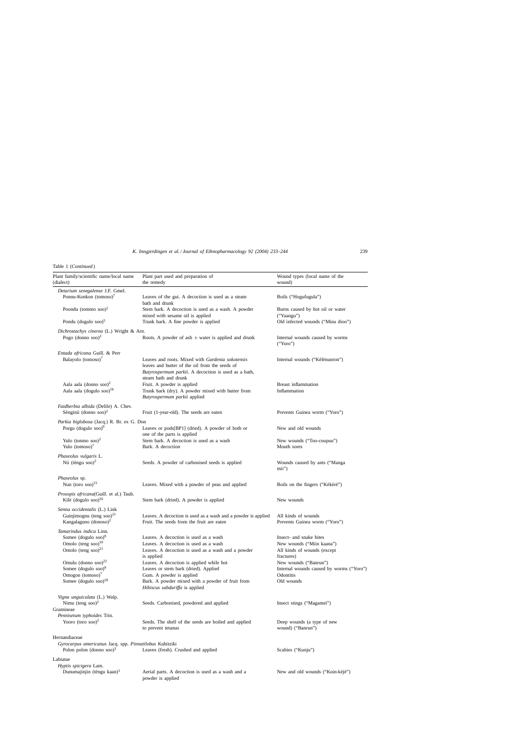Table 1 (*Continued* )

| Plant family/scientific name/local name<br>(dialect)        | Plant part used and preparation of<br>the remedy                                                                                                                                   | Wound types (local name of the<br>wound)        |
|-------------------------------------------------------------|------------------------------------------------------------------------------------------------------------------------------------------------------------------------------------|-------------------------------------------------|
| Detarium senegalense J.F. Gmel.                             |                                                                                                                                                                                    |                                                 |
| Ponnu-Konkon (tomoso) <sup>7</sup>                          | Leaves of the gui. A decoction is used as a steam<br>bath and drunk                                                                                                                | Boils ("Hogufugula")                            |
| Poondu (tommo soo) <sup>2</sup>                             | Stem bark. A decoction is used as a wash. A powder<br>mixed with sesame oil is applied                                                                                             | Burns caused by hot oil or water<br>("Yaangu")  |
| Pondu (dogulo soo) $5$                                      | Trunk bark. A fine powder is applied                                                                                                                                               | Old infected wounds ("Mina dioo")               |
| Dichrostachys cinerea (L.) Wright & Arn.                    |                                                                                                                                                                                    |                                                 |
| Pogo (donno $\rm{soo}$ ) <sup>2</sup>                       | Roots. A powder of $ash + water$ is applied and drunk                                                                                                                              | Internal wounds caused by worms<br>("Yoro")     |
| Entada africana Guill. & Perr                               |                                                                                                                                                                                    |                                                 |
| Balayolo (tomoso) <sup>7</sup>                              | Leaves and roots. Mixed with Gardenia sokotensis<br>leaves and butter of the oil from the seeds of<br>Butyrospermum parkii. A decoction is used as a bath,<br>steam bath and drunk | Internal wounds ("Kélénunron")                  |
| Aala aala (donno soo) <sup>2</sup>                          | Fruit. A powder is applied                                                                                                                                                         | <b>Breast</b> inflammation                      |
| Aala aala (dogulo soo) <sup>16</sup>                        | Trunk bark (dry). A powder mixed with butter from<br>Butyrospermum parkii applied                                                                                                  | Inflammation                                    |
| Faidherbia albida (Delile) A. Chev.                         |                                                                                                                                                                                    |                                                 |
| Sènginii (donno soo) <sup>2</sup>                           | Fruit (1-year-old). The seeds are eaten                                                                                                                                            | Prevents Guinea worm ("Yoro")                   |
| Parkia biglobosa (Jacq.) R. Br. ex G. Don                   |                                                                                                                                                                                    |                                                 |
| Porgu (dogulo soo) <sup>9</sup>                             | Leaves or pods[BP1] (dried). A powder of both or                                                                                                                                   | New and old wounds                              |
|                                                             | one of the parts is applied                                                                                                                                                        |                                                 |
| Yulo (tonmo soo) <sup>2</sup>                               | Stem bark. A decoction is used as a wash                                                                                                                                           | New wounds ("Too-coupuu")                       |
| Yulo $(tomoso)^7$                                           | Bark. A decoction                                                                                                                                                                  | Mouth sores                                     |
| Phaseolus vulgaris L.                                       |                                                                                                                                                                                    |                                                 |
| Nii (tèngu soo) <sup>2</sup>                                | Seeds. A powder of carbonised seeds is applied                                                                                                                                     | Wounds caused by ants ("Manga"<br>mii")         |
| Phaseolus sp.                                               |                                                                                                                                                                                    |                                                 |
| Nun (toro soo) $15$                                         | Leaves. Mixed with a powder of peas and applied                                                                                                                                    | Boils on the fingers ("Kékéré")                 |
| Prosopis africana(Guill. et al.) Taub.                      |                                                                                                                                                                                    |                                                 |
| Kilè (dogulo soo) $16$                                      | Stem bark (dried). A powder is applied                                                                                                                                             | New wounds                                      |
| Senna occidentalis (L.) Link                                |                                                                                                                                                                                    |                                                 |
| Guinjimognu (teng soo) <sup>21</sup>                        | Leaves. A decoction is used as a wash and a powder is applied                                                                                                                      | All kinds of wounds                             |
| Kangalaguno (donoso) <sup>2</sup>                           | Fruit. The seeds from the fruit are eaten                                                                                                                                          | Prevents Guinea worm ("Yoro")                   |
| Tamarindus indica Linn.                                     |                                                                                                                                                                                    |                                                 |
| Somee $(dogulo soo)^9$                                      | Leaves. A decoction is used as a wash                                                                                                                                              | Insect- and snake bites                         |
| Omolo (teng soo) $10$                                       | Leaves. A decoction is used as a wash                                                                                                                                              | New wounds ("Miin kaana")                       |
| Omolo (teng $\rm soo$ ) <sup>21</sup>                       | Leaves. A decoction is used as a wash and a powder                                                                                                                                 | All kinds of wounds (except                     |
|                                                             | is applied                                                                                                                                                                         | fractures)                                      |
| Omulu (donno $\rm{soo}$ ) <sup>22</sup>                     | Leaves. A decoction is applied while hot                                                                                                                                           | New wounds ("Banrun")                           |
| Somee (dogulo soo) <sup>9</sup>                             | Leaves or stem bark (dried). Applied                                                                                                                                               | Internal wounds caused by worms ("Yoro")        |
| Omogon $(tomoso)^7$                                         | Gum. A powder is applied                                                                                                                                                           | Odontitis                                       |
| Somee $(dogulo soo)^{18}$                                   | Bark. A powder mixed with a powder of fruit from<br>Hibiscus sabdariffa is applied                                                                                                 | Old wounds                                      |
| Vigna unguiculata (L.) Walp.                                |                                                                                                                                                                                    |                                                 |
| Nimu (teng soo) <sup>2</sup>                                | Seeds. Carbonised, powdered and applied                                                                                                                                            | Insect stings ("Magamei")                       |
| Gramineae                                                   |                                                                                                                                                                                    |                                                 |
| Pennisetum typhoides Trin.<br>Yooro (toro soo) <sup>2</sup> |                                                                                                                                                                                    |                                                 |
|                                                             | Seeds. The shell of the seeds are boiled and applied<br>to prevent tetanus                                                                                                         | Deep wounds (a type of new<br>wound) ("Banrun") |
| Hernandiaceae                                               |                                                                                                                                                                                    |                                                 |
| Gyrocarpus americanus Jacq. spp. Pinnatilobus Kubitziki     |                                                                                                                                                                                    |                                                 |
| Polon polon (donno soo) $3$                                 | Leaves (fresh). Crushed and applied                                                                                                                                                | Scabies ("Kunju")                               |
| Labiatae                                                    |                                                                                                                                                                                    |                                                 |
| Hyptis spicigera Lam.                                       |                                                                                                                                                                                    |                                                 |
| Dunumajinjin (tèngu kaan) <sup>1</sup>                      | Aerial parts. A decoction is used as a wash and a                                                                                                                                  | New and old wounds ("Koin-kèjè")                |
|                                                             | powder is applied                                                                                                                                                                  |                                                 |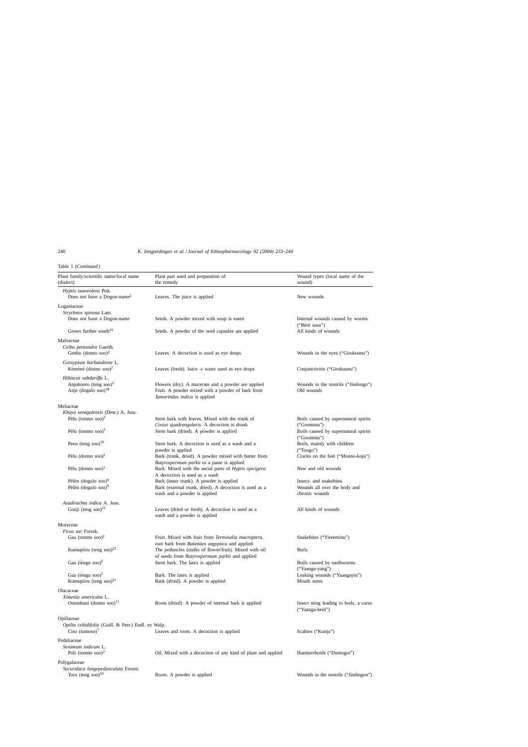Table 1 (*Continued* )

| Hyptis suaveolens Poit.<br>Does not have a Dogon-name <sup>2</sup><br>Leaves. The juice is applied<br>New wounds<br>Loganiaceae<br>Strychnos spinosa Lam.<br>Does not have a Dogon-name<br>Seeds. A powder mixed with soup is eaten<br>Internal wounds caused by worms<br>("Béré susu")<br>Grows further south <sup>19</sup><br>Seeds. A powder of the seed capsules are applied<br>All kinds of wounds<br>Malvaceae<br>Ceiba pentandra Gaerth.<br>Genhu (donno soo) <sup>2</sup><br>Leaves. A decoction is used as eye drops<br>Wounds in the eyes ("Girukuunu")<br>Gossypium barbandense L.<br>Kèmènè (donno soo) <sup>2</sup><br>Conjunctivitis ("Girukuunu")<br>Leaves (fresh). Juice $+$ water used as eye drops<br>Hibiscus sabdariffa L.<br>Anjukooro (teng soo) <sup>2</sup><br>Flowers (dry). A macerate and a powder are applied<br>Anje (dogulo soo) <sup>18</sup><br>Fruit. A powder mixed with a powder of bark from<br>Old wounds<br>Tamarindus indica is applied<br>Meliaceae<br>Khaya senegalensis (Desr.) A. Juss.<br>Pèlu (tonmo soo) <sup>2</sup><br>Stem bark with leaves. Mixed with the trunk of<br>Boils caused by supernatural spirits<br>("Goommu")<br>Cissus quadrangularis. A decoction is drunk<br>Pèlu (tonmo soo) <sup>2</sup><br>Stem bark (dried). A powder is applied<br>Boils caused by supernatural spirits<br>("Goommu")<br>Peeu (teng soo) $10$<br>Boils, mainly with children<br>Stem bark. A decoction is used as a wash and a<br>powder is applied<br>("Toogo") | Plant family/scientific name/local name<br>(dialect) | Plant part used and preparation of<br>the remedy | Wound types (local name of the<br>wound) |
|---------------------------------------------------------------------------------------------------------------------------------------------------------------------------------------------------------------------------------------------------------------------------------------------------------------------------------------------------------------------------------------------------------------------------------------------------------------------------------------------------------------------------------------------------------------------------------------------------------------------------------------------------------------------------------------------------------------------------------------------------------------------------------------------------------------------------------------------------------------------------------------------------------------------------------------------------------------------------------------------------------------------------------------------------------------------------------------------------------------------------------------------------------------------------------------------------------------------------------------------------------------------------------------------------------------------------------------------------------------------------------------------------------------------------------------------------------------------------------------------------------|------------------------------------------------------|--------------------------------------------------|------------------------------------------|
|                                                                                                                                                                                                                                                                                                                                                                                                                                                                                                                                                                                                                                                                                                                                                                                                                                                                                                                                                                                                                                                                                                                                                                                                                                                                                                                                                                                                                                                                                                         |                                                      |                                                  |                                          |
|                                                                                                                                                                                                                                                                                                                                                                                                                                                                                                                                                                                                                                                                                                                                                                                                                                                                                                                                                                                                                                                                                                                                                                                                                                                                                                                                                                                                                                                                                                         |                                                      |                                                  |                                          |
|                                                                                                                                                                                                                                                                                                                                                                                                                                                                                                                                                                                                                                                                                                                                                                                                                                                                                                                                                                                                                                                                                                                                                                                                                                                                                                                                                                                                                                                                                                         |                                                      |                                                  |                                          |
|                                                                                                                                                                                                                                                                                                                                                                                                                                                                                                                                                                                                                                                                                                                                                                                                                                                                                                                                                                                                                                                                                                                                                                                                                                                                                                                                                                                                                                                                                                         |                                                      |                                                  |                                          |
|                                                                                                                                                                                                                                                                                                                                                                                                                                                                                                                                                                                                                                                                                                                                                                                                                                                                                                                                                                                                                                                                                                                                                                                                                                                                                                                                                                                                                                                                                                         |                                                      |                                                  |                                          |
|                                                                                                                                                                                                                                                                                                                                                                                                                                                                                                                                                                                                                                                                                                                                                                                                                                                                                                                                                                                                                                                                                                                                                                                                                                                                                                                                                                                                                                                                                                         |                                                      |                                                  |                                          |
|                                                                                                                                                                                                                                                                                                                                                                                                                                                                                                                                                                                                                                                                                                                                                                                                                                                                                                                                                                                                                                                                                                                                                                                                                                                                                                                                                                                                                                                                                                         |                                                      |                                                  |                                          |
|                                                                                                                                                                                                                                                                                                                                                                                                                                                                                                                                                                                                                                                                                                                                                                                                                                                                                                                                                                                                                                                                                                                                                                                                                                                                                                                                                                                                                                                                                                         |                                                      |                                                  |                                          |
|                                                                                                                                                                                                                                                                                                                                                                                                                                                                                                                                                                                                                                                                                                                                                                                                                                                                                                                                                                                                                                                                                                                                                                                                                                                                                                                                                                                                                                                                                                         |                                                      |                                                  |                                          |
|                                                                                                                                                                                                                                                                                                                                                                                                                                                                                                                                                                                                                                                                                                                                                                                                                                                                                                                                                                                                                                                                                                                                                                                                                                                                                                                                                                                                                                                                                                         |                                                      |                                                  | Wounds in the nostrils ("Jindongo")      |
|                                                                                                                                                                                                                                                                                                                                                                                                                                                                                                                                                                                                                                                                                                                                                                                                                                                                                                                                                                                                                                                                                                                                                                                                                                                                                                                                                                                                                                                                                                         |                                                      |                                                  |                                          |
|                                                                                                                                                                                                                                                                                                                                                                                                                                                                                                                                                                                                                                                                                                                                                                                                                                                                                                                                                                                                                                                                                                                                                                                                                                                                                                                                                                                                                                                                                                         |                                                      |                                                  |                                          |
|                                                                                                                                                                                                                                                                                                                                                                                                                                                                                                                                                                                                                                                                                                                                                                                                                                                                                                                                                                                                                                                                                                                                                                                                                                                                                                                                                                                                                                                                                                         |                                                      |                                                  |                                          |
|                                                                                                                                                                                                                                                                                                                                                                                                                                                                                                                                                                                                                                                                                                                                                                                                                                                                                                                                                                                                                                                                                                                                                                                                                                                                                                                                                                                                                                                                                                         |                                                      |                                                  |                                          |
|                                                                                                                                                                                                                                                                                                                                                                                                                                                                                                                                                                                                                                                                                                                                                                                                                                                                                                                                                                                                                                                                                                                                                                                                                                                                                                                                                                                                                                                                                                         |                                                      |                                                  |                                          |
|                                                                                                                                                                                                                                                                                                                                                                                                                                                                                                                                                                                                                                                                                                                                                                                                                                                                                                                                                                                                                                                                                                                                                                                                                                                                                                                                                                                                                                                                                                         |                                                      |                                                  |                                          |
| Pèlu (donno soo) <sup>1</sup><br>Bark (trunk, dried). A powder mixed with butter from<br>Cracks on the feet ("Monno-koju")<br>Butyrospermum parkii to a paste is applied                                                                                                                                                                                                                                                                                                                                                                                                                                                                                                                                                                                                                                                                                                                                                                                                                                                                                                                                                                                                                                                                                                                                                                                                                                                                                                                                |                                                      |                                                  |                                          |
| Pèlu (donno soo) $1$<br>Bark. Mixed with the aerial parts of Hyptis spicigera.<br>New and old wounds<br>A decoction is used as a wash                                                                                                                                                                                                                                                                                                                                                                                                                                                                                                                                                                                                                                                                                                                                                                                                                                                                                                                                                                                                                                                                                                                                                                                                                                                                                                                                                                   |                                                      |                                                  |                                          |
| Pèlèn (dogulo soo) <sup>9</sup><br>Bark (inner trunk). A powder is applied<br>Insect- and snakebites                                                                                                                                                                                                                                                                                                                                                                                                                                                                                                                                                                                                                                                                                                                                                                                                                                                                                                                                                                                                                                                                                                                                                                                                                                                                                                                                                                                                    |                                                      |                                                  |                                          |
| Pèlèn (dogulo soo) <sup>9</sup><br>Bark (external trunk, dried). A decoction is used as a<br>Wounds all over the body and<br>wash and a powder is applied<br>chronic wounds                                                                                                                                                                                                                                                                                                                                                                                                                                                                                                                                                                                                                                                                                                                                                                                                                                                                                                                                                                                                                                                                                                                                                                                                                                                                                                                             |                                                      |                                                  |                                          |
| Azadirachta indica A. Juss.<br>Gonji (teng soo) $^{21}$<br>Leaves (dried or fresh). A decoction is used as a<br>All kinds of wounds<br>wash and a powder is applied                                                                                                                                                                                                                                                                                                                                                                                                                                                                                                                                                                                                                                                                                                                                                                                                                                                                                                                                                                                                                                                                                                                                                                                                                                                                                                                                     |                                                      |                                                  |                                          |
| Moraceae                                                                                                                                                                                                                                                                                                                                                                                                                                                                                                                                                                                                                                                                                                                                                                                                                                                                                                                                                                                                                                                                                                                                                                                                                                                                                                                                                                                                                                                                                                |                                                      |                                                  |                                          |
| Ficus sur Forssk.                                                                                                                                                                                                                                                                                                                                                                                                                                                                                                                                                                                                                                                                                                                                                                                                                                                                                                                                                                                                                                                                                                                                                                                                                                                                                                                                                                                                                                                                                       |                                                      |                                                  |                                          |
| Gaa (tonmo soo) <sup>2</sup><br>Snakebites ("Yireeminu")<br>Fruit. Mixed with fruit from Terminalia macroptera,<br>root bark from Balanites aegyptica and applied                                                                                                                                                                                                                                                                                                                                                                                                                                                                                                                                                                                                                                                                                                                                                                                                                                                                                                                                                                                                                                                                                                                                                                                                                                                                                                                                       |                                                      |                                                  |                                          |
| Kumupiiru (teng soo) <sup>21</sup><br>The peduncles (stalks of flower/fruit). Mixed with oil<br><b>Boils</b><br>of seeds from Butyrospermum parkii and applied                                                                                                                                                                                                                                                                                                                                                                                                                                                                                                                                                                                                                                                                                                                                                                                                                                                                                                                                                                                                                                                                                                                                                                                                                                                                                                                                          |                                                      |                                                  |                                          |
| Gaa (tèngu soo) $^2$<br>Stem bark. The latex is applied<br>Boils caused by earthworms<br>("Yaanga-yang")                                                                                                                                                                                                                                                                                                                                                                                                                                                                                                                                                                                                                                                                                                                                                                                                                                                                                                                                                                                                                                                                                                                                                                                                                                                                                                                                                                                                |                                                      |                                                  |                                          |
| Gaa (tèngu soo) <sup>2</sup><br>Leaking wounds ("Yaangayin")<br>Bark. The latex is applied<br>Kumupiiru (teng soo) $^{21}$<br>Bark (dried). A powder is applied<br>Mouth sores                                                                                                                                                                                                                                                                                                                                                                                                                                                                                                                                                                                                                                                                                                                                                                                                                                                                                                                                                                                                                                                                                                                                                                                                                                                                                                                          |                                                      |                                                  |                                          |
| Olacaceae                                                                                                                                                                                                                                                                                                                                                                                                                                                                                                                                                                                                                                                                                                                                                                                                                                                                                                                                                                                                                                                                                                                                                                                                                                                                                                                                                                                                                                                                                               |                                                      |                                                  |                                          |
| Ximenia americana L.<br>Onombani (donno soo) $^{11}$<br>Roots (dried). A powder of internal bark is applied                                                                                                                                                                                                                                                                                                                                                                                                                                                                                                                                                                                                                                                                                                                                                                                                                                                                                                                                                                                                                                                                                                                                                                                                                                                                                                                                                                                             |                                                      |                                                  | Insect sting leading to boils, a curse   |
| ("Yaanga-kein")                                                                                                                                                                                                                                                                                                                                                                                                                                                                                                                                                                                                                                                                                                                                                                                                                                                                                                                                                                                                                                                                                                                                                                                                                                                                                                                                                                                                                                                                                         |                                                      |                                                  |                                          |
| Opiliaceae<br>Opilia celtidifolia (Guill. & Perr.) Endl. ex Walp.<br>$Ciso$ (tomoso) <sup>7</sup><br>Leaves and roots. A decoction is applied<br>Scabies ("Kunju")                                                                                                                                                                                                                                                                                                                                                                                                                                                                                                                                                                                                                                                                                                                                                                                                                                                                                                                                                                                                                                                                                                                                                                                                                                                                                                                                      |                                                      |                                                  |                                          |
| Pedaliaceae                                                                                                                                                                                                                                                                                                                                                                                                                                                                                                                                                                                                                                                                                                                                                                                                                                                                                                                                                                                                                                                                                                                                                                                                                                                                                                                                                                                                                                                                                             |                                                      |                                                  |                                          |
| Sesamum indicum L.<br>Poli (tonmo soo) <sup>2</sup><br>Oil. Mixed with a decoction of any kind of plant and applied<br>Haemorrhoids ("Dumogoi")                                                                                                                                                                                                                                                                                                                                                                                                                                                                                                                                                                                                                                                                                                                                                                                                                                                                                                                                                                                                                                                                                                                                                                                                                                                                                                                                                         |                                                      |                                                  |                                          |
| Polygalaceae                                                                                                                                                                                                                                                                                                                                                                                                                                                                                                                                                                                                                                                                                                                                                                                                                                                                                                                                                                                                                                                                                                                                                                                                                                                                                                                                                                                                                                                                                            |                                                      |                                                  |                                          |
| Securidaca longepedunculata Fresen.<br>Toro (teng soo) $10$<br>Roots. A powder is applied                                                                                                                                                                                                                                                                                                                                                                                                                                                                                                                                                                                                                                                                                                                                                                                                                                                                                                                                                                                                                                                                                                                                                                                                                                                                                                                                                                                                               |                                                      |                                                  | Wounds in the nostrils ("Jindingon")     |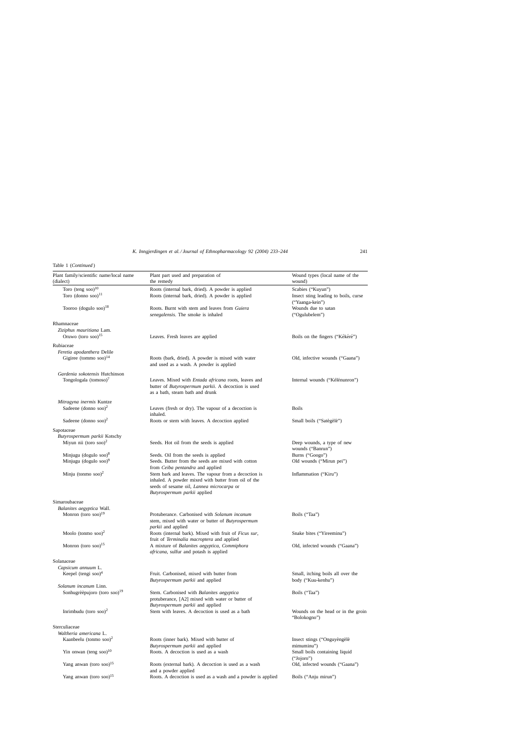Table 1 (*Continued* )

| Plant family/scientific name/local name<br>(dialect)                        | Plant part used and preparation of<br>the remedy                                                                                                                                                                             | Wound types (local name of the<br>wound)                                     |
|-----------------------------------------------------------------------------|------------------------------------------------------------------------------------------------------------------------------------------------------------------------------------------------------------------------------|------------------------------------------------------------------------------|
| Toro (teng $soo$ ) <sup>10</sup><br>Toro $(donno. soo)^{11}$                | Roots (internal bark, dried). A powder is applied<br>Roots (internal bark, dried). A powder is applied                                                                                                                       | Scabies ("Kuyun")<br>Insect sting leading to boils, curse<br>("Yaanga-kein") |
| Tooroo $(dogulo soo)^{18}$                                                  | Roots. Burnt with stem and leaves from Guiera<br>senegalensis. The smoke is inhaled                                                                                                                                          | Wounds due to satan<br>("Ogulubelem")                                        |
| Rhamnaceae<br>Ziziphus mauritiana Lam.<br>Oruwo (toro soo) $15$             | Leaves. Fresh leaves are applied                                                                                                                                                                                             | Boils on the fingers ("Kékéré")                                              |
| Rubiaceae<br>Feretia apodanthera Delile                                     |                                                                                                                                                                                                                              |                                                                              |
| Gigiree (tommo soo) $14$                                                    | Roots (bark, dried). A powder is mixed with water<br>and used as a wash. A powder is applied                                                                                                                                 | Old, infective wounds ("Gaana")                                              |
| Gardenia sokotensis Hutchinson<br>Tongologala (tomoso) $7$                  | Leaves. Mixed with Entada africana roots, leaves and<br>butter of Butyrospermum parkii. A decoction is used<br>as a bath, steam bath and drunk                                                                               | Internal wounds ("Kélénunron")                                               |
| Mitragyna inermis Kuntze<br>Sadeene (donno soo) <sup>2</sup>                | Leaves (fresh or dry). The vapour of a decoction is<br>inhaled.                                                                                                                                                              | <b>Boils</b>                                                                 |
| Sadeene (donno soo) <sup>2</sup>                                            | Roots or stem with leaves. A decoction applied                                                                                                                                                                               | Small boils ("Satègèlè")                                                     |
| Sapotaceae                                                                  |                                                                                                                                                                                                                              |                                                                              |
| Butyrospermum parkii Kotschy<br>Miyun nii (toro soo) <sup>2</sup>           | Seeds. Hot oil from the seeds is applied                                                                                                                                                                                     | Deep wounds, a type of new<br>wounds ("Banrun")                              |
| Minjugu (dogulo soo) $8$<br>Minjugu (dogulo soo) <sup>9</sup>               | Seeds. Oil from the seeds is applied<br>Seeds. Butter from the seeds are mixed with cotton                                                                                                                                   | Burns ("Googo")<br>Old wounds ("Mirun pei")                                  |
| Minju (tonmo soo) <sup>2</sup>                                              | from Ceiba pentandra and applied<br>Stem bark and leaves. The vapour from a decoction is<br>inhaled. A powder mixed with butter from oil of the<br>seeds of sesame oil, Lannea microcarpa or<br>Butyrospermum parkii applied | Inflammation ("Kiru")                                                        |
| Simaroubaceae                                                               |                                                                                                                                                                                                                              |                                                                              |
| Balanites aegyptica Wall.<br>Monron (toro soo) $19$                         | Protuberance. Carbonised with Solanum incanum<br>stem, mixed with water or butter of Butyrospermum<br><i>parkii</i> and applied                                                                                              | Boils ("Taa")                                                                |
| Moolo (tonmo soo) <sup>2</sup>                                              | Roots (internal bark). Mixed with fruit of Ficus sur,<br>fruit of Terminalia macroptera and applied                                                                                                                          | Snake bites ("Yireeminu")                                                    |
| Monron (toro soo) $15$                                                      | A mixture of Balanites aegyptica, Commiphora<br>africana, sulfur and potash is applied                                                                                                                                       | Old, infected wounds ("Gaana")                                               |
| Solanaceae                                                                  |                                                                                                                                                                                                                              |                                                                              |
| Capsicum annuum L.<br>Keepel (tengi soo) $4$                                | Fruit. Carbonised, mixed with butter from                                                                                                                                                                                    | Small, itching boils all over the                                            |
| Solanum incanum Linn.                                                       | Butyrospermum parkii and applied                                                                                                                                                                                             | body ("Kuu-kenhu")                                                           |
| Sonhugrè è pujoro (toro soo) <sup>19</sup>                                  | Stem. Carbonised with Balanites aegyptica<br>protuberance, [A2] mixed with water or butter of                                                                                                                                | Boils ("Taa")                                                                |
| Inrimbudu (toro soo) <sup>2</sup>                                           | Butyrospermum parkii and applied<br>Stem with leaves. A decoction is used as a bath                                                                                                                                          | Wounds on the head or in the groin<br>"Bolokogno")                           |
| Sterculiaceae                                                               |                                                                                                                                                                                                                              |                                                                              |
| Waltheria americana L.                                                      |                                                                                                                                                                                                                              |                                                                              |
| Kaanbeelu (tonmo soo) <sup>2</sup><br>Yin onwan (teng $soo$ ) <sup>10</sup> | Roots (inner bark). Mixed with butter of<br>Butyrospermum parkii and applied<br>Roots. A decoction is used as a wash                                                                                                         | Insect stings ("Onguyèngèlè<br>mimuminu")<br>Small boils containing liquid   |
| Yang anwan (toro soo) $15$                                                  | Roots (external bark). A decoction is used as a wash                                                                                                                                                                         | ("Jojoro")<br>Old, infected wounds ("Gaana")                                 |
|                                                                             | and a powder applied                                                                                                                                                                                                         |                                                                              |
| Yang anwan (toro soo) <sup>15</sup>                                         | Roots. A decoction is used as a wash and a powder is applied                                                                                                                                                                 | Boils ("Anju mirun")                                                         |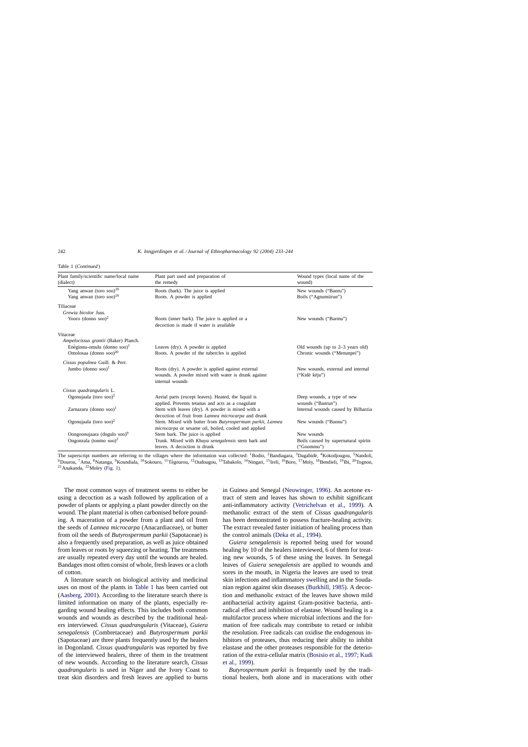Table 1 (*Continued* )

| Plant family/scientific name/local name<br>(dialect)                                                            | Plant part used and preparation of<br>the remedy                                                                           | Wound types (local name of the<br>wound)                          |
|-----------------------------------------------------------------------------------------------------------------|----------------------------------------------------------------------------------------------------------------------------|-------------------------------------------------------------------|
| Yang anwan (toro soo) <sup>19</sup><br>Yang anwan (toro soo) $19$                                               | Roots (bark). The juice is applied<br>Roots. A powder is applied                                                           | New wounds ("Banru")<br>Boils ("Agnumiirun")                      |
| Tiliaceae                                                                                                       |                                                                                                                            |                                                                   |
| Grewia bicolor Juss.<br>Yooro (donno $\rm{soo}$ ) <sup>2</sup>                                                  | Roots (inner bark). The juice is applied or a<br>decoction is made if water is available                                   | New wounds ("Barmu")                                              |
| Vitaceae                                                                                                        |                                                                                                                            |                                                                   |
| Ampelocissus grantii (Baker) Planch.<br>Enèginnu-omulu (donno soo) <sup>1</sup><br>Omolosaa (donno soo) $^{20}$ | Leaves (dry). A powder is applied<br>Roots. A powder of the tubercles is applied                                           | Old wounds (up to $2-3$ years old)<br>Chronic wounds ("Menunpei") |
| Cissus populnea Guill. & Perr.                                                                                  |                                                                                                                            |                                                                   |
| Jumbo (donno soo) <sup>1</sup>                                                                                  | Roots (dry). A powder is applied against external<br>wounds. A powder mixed with water is drunk against<br>internal wounds | New wounds, external and internal<br>("Kidè kèju")                |
| Cissus quadrangularis L.                                                                                        |                                                                                                                            |                                                                   |
| Ogonujaala (toro soo) <sup>2</sup>                                                                              | Aerial parts (except leaves). Heated, the liquid is<br>applied. Prevents tetanus and acts as a coagulant                   | Deep wounds, a type of new<br>wounds ("Banrun")                   |
| Zarnazaru (donno soo) <sup>1</sup>                                                                              | Stem with leaves (dry). A powder is mixed with a<br>decoction of fruit from Lannea microcarpa and drunk                    | Internal wounds caused by Bilharzia                               |
| Ogonujaala (toro soo) <sup>2</sup>                                                                              | Stem. Mixed with butter from Butyrospermum parkii, Lannea<br><i>microcarpa</i> or sesame oil, boiled, cooled and applied   | New wounds ("Bannu")                                              |

The superscript numbers are referring to the villages where the information was collected:  ${}^{1}$ Bodio,  ${}^{2}$ Bandiagara,  ${}^{3}$ Dagabidé,  ${}^{4}$ Kokodjougou,  ${}^{5}$ Nandoli, <sup>6</sup>Dourou, <sup>7</sup>Ama, <sup>8</sup>Natanga, <sup>9</sup>Koundiala, <sup>10</sup>Sokouro, <sup>11</sup>Tégourou, <sup>12</sup>Oudougou, <sup>13</sup>Tabakolo, <sup>14</sup>Ningari, <sup>15</sup>Ireli, <sup>16</sup>Boro, <sup>17</sup>Moly, <sup>18</sup>Bendieli, <sup>19</sup>Ibi, <sup>20</sup>Tognon,  $21$ Anakanda,  $22$ Moley [\(Fig. 1\).](#page-2-0)

Oongoonujaara (dogulo soo)<sup>9</sup> Stem bark. The juice is applied New wounds

lesves. A decoction is drunk

Ongonzala (tonmo soo)<sup>2</sup> Trunk. Mixed with *Khaya senegalensis* stem bark and

The most common ways of treatment seems to either be using a decoction as a wash followed by application of a powder of plants or applying a plant powder directly on the wound. The plant material is often carbonised before pounding. A maceration of a powder from a plant and oil from the seeds of *Lannea microcarpa* (Anacardiaceae), or butter from oil the seeds of *Butyrospermum parkii* (Sapotaceae) is also a frequently used preparation, as well as juice obtained from leaves or roots by squeezing or heating. The treatments are usually repeated every day until the wounds are healed. Bandages most often consist of whole, fresh leaves or a cloth of cotton.

A literature search on biological activity and medicinal uses on most of the plants in [Table 1](#page-3-0) has been carried out ([Aasberg, 2001\).](#page-10-0) According to the literature search there is limited information on many of the plants, especially regarding wound healing effects. This includes both common wounds and wounds as described by the traditional healers interviewed. *Cissus quadrangularis* (Vitaceae), *Guiera senegalensis* (Combretaceae) and *Butyrospermum parkii* (Sapotaceae) are three plants frequently used by the healers in Dogonland. *Cissus quadrangularis* was reported by five of the interviewed healers, three of them in the treatment of new wounds. According to the literature search, *Cissus quadrangularis* is used in Niger and the Ivory Coast to treat skin disorders and fresh leaves are applied to burns in Guinea and Senegal [\(Neuwinger, 1996\).](#page-11-0) An acetone extract of stem and leaves has shown to exhibit significant anti-inflammatory activity ([Vetrichelvan et al., 1999](#page-11-0)). A methanolic extract of the stem of *Cissus quadrangularis* has been demonstrated to possess fracture-healing activity. The extract revealed faster initiation of healing process than the control animals [\(Deka et al., 1994\).](#page-10-0)

Boils caused by supernatural spirits

("Goommu")

*Guiera senegalensis* is reported being used for wound healing by 10 of the healers interviewed, 6 of them for treating new wounds, 5 of these using the leaves. In Senegal leaves of *Guiera senegalensis* are applied to wounds and sores in the mouth, in Nigeria the leaves are used to treat skin infections and inflammatory swelling and in the Soudanian region against skin diseases ([Burkhill, 1985\).](#page-10-0) A decoction and methanolic extract of the leaves have shown mild antibacterial activity against Gram-positive bacteria, antiradical effect and inhibition of elastase. Wound healing is a multifactor process where microbial infections and the formation of free radicals may contribute to retard or inhibit the resolution. Free radicals can oxidise the endogenous inhibitors of proteases, thus reducing their ability to inhibit elastase and the other proteases responsible for the deterioration of the extra-cellular matrix [\(Bosisio et al., 1997; Kudi](#page-10-0) [et al., 1999\).](#page-10-0)

*Butyrospermum parkii* is frequently used by the traditional healers, both alone and in macerations with other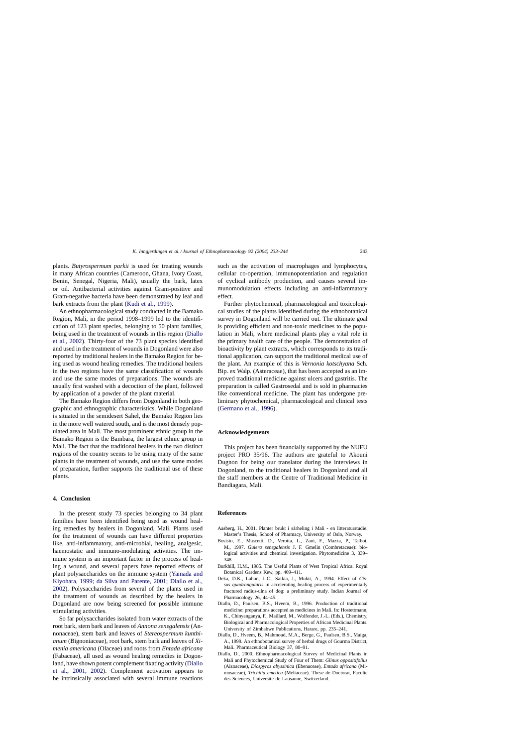<span id="page-10-0"></span>plants. *Butyrospermum parkii* is used for treating wounds in many African countries (Cameroon, Ghana, Ivory Coast, Benin, Senegal, Nigeria, Mali), usually the bark, latex or oil. Antibacterial activities against Gram-positive and Gram-negative bacteria have been demonstrated by leaf and bark extracts from the plant ([Kudi et al., 1999\).](#page-11-0)

An ethnopharmacological study conducted in the Bamako Region, Mali, in the period 1998–1999 led to the identification of 123 plant species, belonging to 50 plant families, being used in the treatment of wounds in this region ([Diallo](#page-11-0) [et al., 2002\).](#page-11-0) Thirty-four of the 73 plant species identified and used in the treatment of wounds in Dogonland were also reported by traditional healers in the Bamako Region for being used as wound healing remedies. The traditional healers in the two regions have the same classification of wounds and use the same modes of preparations. The wounds are usually first washed with a decoction of the plant, followed by application of a powder of the plant material.

The Bamako Region differs from Dogonland in both geographic and ethnographic characteristics. While Dogonland is situated in the semidesert Sahel, the Bamako Region lies in the more well watered south, and is the most densely populated area in Mali. The most prominent ethnic group in the Bamako Region is the Bambara, the largest ethnic group in Mali. The fact that the traditional healers in the two distinct regions of the country seems to be using many of the same plants in the treatment of wounds, and use the same modes of preparation, further supports the traditional use of these plants.

# **4. Conclusion**

In the present study 73 species belonging to 34 plant families have been identified being used as wound healing remedies by healers in Dogonland, Mali. Plants used for the treatment of wounds can have different properties like, anti-inflammatory, anti-microbial, healing, analgesic, haemostatic and immuno-modulating activities. The immune system is an important factor in the process of healing a wound, and several papers have reported effects of plant polysaccharides on the immune system ([Yamada and](#page-11-0) [Kiyohara, 1999; da Silva and Parente, 2001; Diallo et al.,](#page-11-0) [2002\).](#page-11-0) Polysaccharides from several of the plants used in the treatment of wounds as described by the healers in Dogonland are now being screened for possible immune stimulating activities.

So far polysaccharides isolated from water extracts of the root bark, stem bark and leaves of *Annona senegalensis* (Annonaceae), stem bark and leaves of *Stereospermum kunthianum* (Bignoniaceae), root bark, stem bark and leaves of *Ximenia americana* (Olaceae) and roots from *Entada africana* (Fabaceae), all used as wound healing remedies in Dogonland, have shown potent complement fixating activity ([Diallo](#page-11-0) [et al., 2001, 2002](#page-11-0)). Complement activation appears to be intrinsically associated with several immune reactions

such as the activation of macrophages and lymphocytes, cellular co-operation, immunopotentiation and regulation of cyclical antibody production, and causes several immunomodulation effects including an anti-inflammatory effect.

Further phytochemical, pharmacological and toxicological studies of the plants identified during the ethnobotanical survey in Dogonland will be carried out. The ultimate goal is providing efficient and non-toxic medicines to the population in Mali, where medicinal plants play a vital role in the primary health care of the people. The demonstration of bioactivity by plant extracts, which corresponds to its traditional application, can support the traditional medical use of the plant. An example of this is *Vernonia kotschyana* Sch. Bip. ex Walp. (Asteraceae), that has been accepted as an improved traditional medicine against ulcers and gastritis. The preparation is called Gastrosedal and is sold in pharmacies like conventional medicine. The plant has undergone preliminary phytochemical, pharmacological and clinical tests ([Germano et al., 1996\).](#page-11-0)

## **Acknowledgements**

This project has been financially supported by the NUFU project PRO 35/96. The authors are grateful to Akouni Dugnon for being our translator during the interviews in Dogonland, to the traditional healers in Dogonland and all the staff members at the Centre of Traditional Medicine in Bandiagara, Mali.

#### **References**

- Aasberg, H., 2001. Planter brukt i sårheling i Mali en litteraturstudie. Master's Thesis, School of Pharmacy, University of Oslo, Norway.
- Bosisio, E., Mascetti, D., Verotta, L., Zani, F., Mazza, P., Talbot, M., 1997. *Guiera senegalensis* J. F. Gmelin (Combretaceae): biological activities and chemical investigation. Phytomedicine 3, 339– 348.
- Burkhill, H.M., 1985. The Useful Plants of West Tropical Africa. Royal Botanical Gardens Kew, pp. 409–411.
- Deka, D.K., Lahon, L.C., Saikia, J., Mukit, A., 1994. Effect of *Cissus quadrangularis* in accelerating healing process of experimentally fractured radius-ulna of dog: a preliminary study. Indian Journal of Pharmacology 26, 44–45.
- Diallo, D., Paulsen, B.S., Hveem, B., 1996. Production of traditional medicine: preparations accepted as medicines in Mali. In: Hostettmann, K., Chinyanganya, F., Maillard, M., Wolfender, J.-L. (Eds.), Chemistry, Biological and Pharmacological Properties of African Medicinal Plants. University of Zimbabwe Publications, Harare, pp. 235–241.
- Diallo, D., Hveem, B., Mahmoud, M.A., Berge, G., Paulsen, B.S., Maiga, A., 1999. An ethnobotanical survey of herbal drugs of Gourma District, Mali. Pharmaceutical Biology 37, 80–91.
- Diallo, D., 2000. Ethnopharmacological Survey of Medicinal Plants in Mali and Phytochemical Study of Four of Them: *Glinus oppositifolius* (Aizoaceae), *Diospyros abyssinica* (Ebenaceae), *Entada africana* (Mimosaceae), *Trichilia emetica* (Meliaceae). These de Doctorat, Faculte des Sciences, Universite de Lausanne, Switzerland.